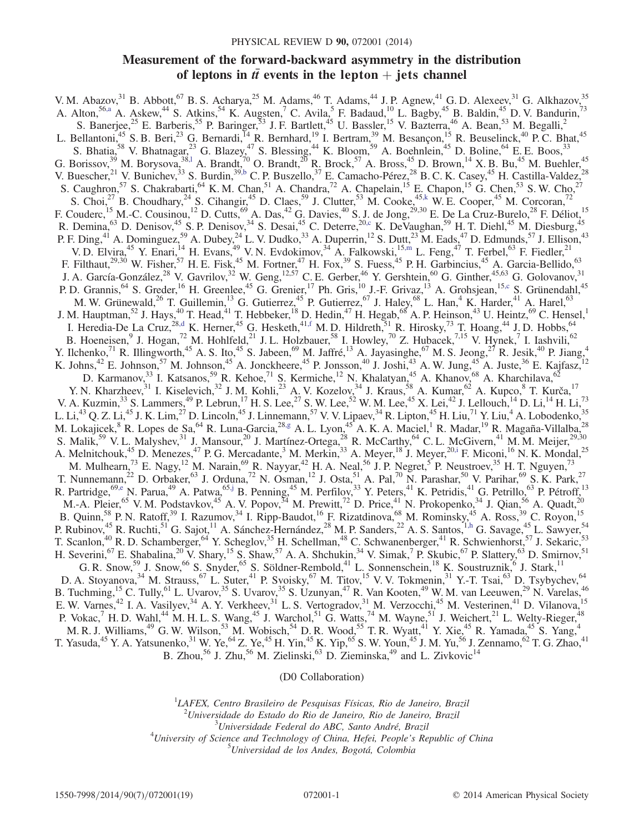# Measurement of the forward-backward asymmetry in the distribution of leptons in  $t\bar{t}$  events in the lepton  $+$  jets channel

<span id="page-0-10"></span><span id="page-0-9"></span><span id="page-0-8"></span><span id="page-0-3"></span><span id="page-0-2"></span><span id="page-0-1"></span><span id="page-0-0"></span>V. M. Abazov,  $31$  B. Abbott,  $67$  B. S. Acharya,  $25$  M. Adams,  $46$  T. Adams,  $44$  J. P. Agnew,  $41$  G. D. Alexeev,  $31$  G. Alkhazov,  $35$ A. Alton,<sup>56[,a](#page-2-0)</sup> A. Askew,<sup>44</sup> S. Atkins,<sup>54</sup> K. Augsten,<sup>7</sup> C. Avila,<sup>5</sup> F. Badaud,<sup>10</sup> L. Bagby,<sup>45</sup> B. Baldin,<sup>45</sup> D. V. Bandurin,<sup>73</sup> S. Banerjee,<sup>25</sup> E. Barberis,<sup>55</sup> P. Baringer,<sup>53</sup> J. F. Bartlett,<sup>45</sup> U. Bassler,<sup>15</sup> V. Bazterra,<sup>46</sup> A. Bean,<sup>53</sup> M. Begalli,<sup>2</sup> L. Bellantoni,<sup>45</sup> S. B. Beri,<sup>23</sup> G. Bernardi,<sup>14</sup> R. Bernhard,<sup>19</sup> I. Bertram,<sup>39</sup> M. Besançon,<sup>15</sup> R. Beuselinck,<sup>40</sup> P. C. Bhat,<sup>45</sup> S. Bhatia,<sup>58</sup> V. Bhatnagar,<sup>23</sup> G. Blazey,<sup>47</sup> S. Blessing,<sup>44</sup> K. Bloom,<sup>59</sup> A. Boehnlein,<sup>45</sup> D. Boline,<sup>64</sup> E. E. Boos,<sup>33</sup> G. Borissov,<sup>39</sup> M. Borysova,<sup>38,1</sup> A. Brandt,<sup>70</sup> O. Brandt,<sup>20</sup> R. Brock,<sup>57</sup> A. Bross,<sup>45</sup> D. Brown,<sup>14</sup> X. B. Bu,<sup>45</sup> M. Buehler,<sup>45</sup> V. Buescher,  $^{21}$  V. Bunichev,  $^{33}$  S. Burdin,  $^{39,b}$  $^{39,b}$  $^{39,b}$  C. P. Buszello,  $^{37}$  E. Camacho-Pérez,  $^{28}$  B. C. K. Casey,  $^{45}$  H. Castilla-Valdez,  $^{28}$ S. Caughron,<sup>57</sup> S. Chakrabarti,<sup>64</sup> K. M. Chan,<sup>51</sup> A. Chandra,<sup>72</sup> A. Chapelain,<sup>15</sup> E. Chapon,<sup>15</sup> G. Chen,<sup>53</sup> S. W. Cho,<sup>27</sup> S. Choi,<sup>27</sup> B. Choudhary,<sup>24</sup> S. Cihangir,<sup>45</sup> D. Claes,<sup>59</sup> J. Clutter,<sup>53</sup> M. Cooke,<sup>45[,k](#page-2-3)</sup> W. E. Cooper,<sup>45</sup> M. Corcoran,<sup>72</sup> F. Couderc,<sup>15</sup> M.-C. Cousinou,<sup>12</sup> D. Cutts,<sup>69</sup> A. Das,<sup>42</sup> G. Davies,<sup>40</sup> S. J. de Jong,<sup>29,30</sup> E. De La Cruz-Burelo,<sup>28</sup> F. Déliot,<sup>15</sup> R. Demina,<sup>63</sup> D. Denisov,<sup>45</sup> S. P. Denisov,<sup>34</sup> S. Desai,<sup>45</sup> C. Deterre,<sup>2[0,c](#page-2-4)</sup> K. DeVaughan,<sup>59</sup> H. T. Diehl,<sup>45</sup> M. Diesburg,<sup>45</sup> P. F. Ding,<sup>41</sup> A. Dominguez,<sup>59</sup> A. Dubey,<sup>24</sup> L. V. Dudko,<sup>33</sup> A. Duperrin,<sup>12</sup> S. Dutt,<sup>23</sup> M. Eads,<sup>47</sup> D. Edmunds,<sup>57</sup> J. Ellison,<sup>43</sup> V. D. Elvira,<sup>45</sup> Y. Enari,<sup>14</sup> H. Evans,<sup>49</sup> V. N. Evdokimov,<sup>34</sup> A. Falkowski,<sup>15[,m](#page-2-5)</sup> L. Feng,<sup>47</sup> T. Ferbel,<sup>63</sup> F. Fiedler,<sup>21</sup> F. Filthaut,<sup>29,30</sup> W. Fisher,<sup>57</sup> H. E. Fisk,<sup>45</sup> M. Fortner,<sup>47</sup> H. Fox,<sup>39</sup> S. Fuess,<sup>45</sup> P. H. Garbincius,<sup>45</sup> A. Garcia-Bellido,<sup>63</sup> J. A. García-González,<sup>28</sup> V. Gavrilov,<sup>32</sup> W. Geng,<sup>12,57</sup> C. E. Gerber,<sup>46</sup> Y. Gershtein,<sup>60</sup> G. Ginther,<sup>45,63</sup> G. Golovanov,<sup>31</sup> P. D. Grannis, <sup>64</sup> S. Greder, <sup>16</sup> H. Greenlee, <sup>45</sup> G. Grenier, <sup>17</sup> Ph. Gris, <sup>10</sup> J.-F. Grivaz, <sup>13</sup> A. Grohsjean, <sup>15[,c](#page-2-4)</sup> S. Grünendahl, <sup>45</sup> M. W. Grünewald,<sup>26</sup> T. Guillemin,<sup>13</sup> G. Gutierrez,<sup>45</sup> P. Gutierrez,<sup>67</sup> J. Haley,<sup>68</sup> L. Han,<sup>4</sup> K. Harder,<sup>41</sup> A. Harel,<sup>63</sup> J. M. Hauptman,<sup>52</sup> J. Hays,<sup>40</sup> T. Head,<sup>41</sup> T. Hebbeker,<sup>18</sup> D. Hedin,<sup>47</sup> H. Hegab,<sup>68</sup> A. P. Heinson,<sup>43</sup> U. Heintz,<sup>69</sup> C. Hensel,<sup>1</sup> I. Heredia-De La Cruz,  $^{28, d}$  K. Herner,  $^{45}$  G. Hesketh,  $^{41, f}$  M. D. Hildreth,  $^{51}$  R. Hirosky,  $^{73}$  T. Hoang,  $^{44}$  J. D. Hobbs,  $^{64}$ B. Hoeneisen, <sup>9</sup> J. Hogan, <sup>72</sup> M. Hohlfeld, <sup>21</sup> J. L. Holzbauer, <sup>58</sup> I. Howley, <sup>70</sup> Z. Hubacek, <sup>7,15</sup> V. Hynek, <sup>7</sup> I. Iashvili, <sup>62</sup> Y. Ilchenko,<sup>71</sup> R. Illingworth,<sup>45</sup> A. S. Ito,<sup>45</sup> S. Jabeen,<sup>69</sup> M. Jaffré,<sup>13</sup> A. Jayasinghe,<sup>67</sup> M. S. Jeong,<sup>27</sup> R. Jesik,<sup>40</sup> P. Jiang,<sup>4</sup> K. Johns,  $42$  E. Johnson,  $57$  M. Johnson,  $45$  A. Jonckheere,  $45$  P. Jonsson,  $40$  J. Joshi,  $43$  A. W. Jung,  $45$  A. Juste,  $36$  E. Kajfasz,  $12$ D. Karmanov,<sup>33</sup> I. Katsanos,<sup>59</sup> R. Kehoe,<sup>71</sup> S. Kermiche,<sup>12</sup> N. Khalatyan,<sup>45</sup> A. Khanov,<sup>68</sup> A. Kharchilava,<sup>62</sup> Y. N. Kharzheev,<sup>31</sup> I. Kiselevich,<sup>32</sup> J. M. Kohli,<sup>23</sup> A. V. Kozelov,<sup>34</sup> J. Kraus,<sup>58</sup> A. Kumar,<sup>62</sup> A. Kupco,<sup>8</sup> T. Kurča,<sup>17</sup> V. A. Kuzmin,  $33$  S. Lammers,  $49$  P. Lebrun,  $17$  H. S. Lee,  $27$  S. W. Lee,  $52$  W. M. Lee,  $45$  X. Lei,  $42$  J. Lellouch,  $14$  D. Li,  $14$  H. Li,  $73$ L. Li,<sup>43</sup> Q. Z. Li,<sup>45</sup> J. K. Lim,<sup>27</sup> D. Lincoln,<sup>45</sup> J. Linnemann,<sup>57</sup> V. V. Lipaev,<sup>34</sup> R. Lipton,<sup>45</sup> H. Liu,<sup>71</sup> Y. Liu,<sup>4</sup> A. Lobodenko,<sup>35</sup> M. Lokajicek, <sup>8</sup> R. Lopes de Sa, <sup>64</sup> R. Luna-Garcia, <sup>2[8,g](#page-2-8)</sup> A. L. Lyon, <sup>45</sup> A. K. A. Maciel, <sup>1</sup> R. Madar, <sup>19</sup> R. Magaña-Villalba, <sup>28</sup> S. Malik,<sup>59</sup> V. L. Malyshev,<sup>31</sup> J. Mansour,<sup>20</sup> J. Martínez-Ortega,<sup>28</sup> R. McCarthy,<sup>64</sup> C. L. McGivern,<sup>41</sup> M. M. Meijer,<sup>29,30</sup> A. Melnitchouk,<sup>45</sup> D. Menezes,<sup>47</sup> P. G. Mercadante,<sup>3</sup> M. Merkin,<sup>33</sup> A. Meyer,<sup>18</sup> J. Meyer,<sup>2[0,i](#page-2-9)</sup> F. Miconi,<sup>16</sup> N. K. Mondal,<sup>25</sup> M. Mulhearn,<sup>73</sup> E. Nagy,<sup>12</sup> M. Narain,<sup>69</sup> R. Nayyar,<sup>42</sup> H. A. Neal,<sup>56</sup> J. P. Negret,<sup>5</sup> P. Neustroev,<sup>35</sup> H. T. Nguyen,<sup>73</sup> T. Nunnemann,<sup>22</sup> D. Orbaker,<sup>63</sup> J. Orduna,<sup>72</sup> N. Osman,<sup>12</sup> J. Osta,<sup>51</sup> A. Pal,<sup>70</sup> N. Parashar,<sup>50</sup> V. Parihar,<sup>69</sup> S. K. Park,<sup>27</sup> R. Partridge,<sup>6[9,e](#page-2-10)</sup> N. Parua,<sup>49</sup> A. Patwa,<sup>65[,j](#page-2-11)</sup> B. Penning,<sup>45</sup> M. Perfilov,<sup>33</sup> Y. Peters,<sup>41</sup> K. Petridis,<sup>41</sup> G. Petrillo,<sup>63</sup> P. Pétroff,<sup>13</sup> M.-A. Pleier,<sup>65</sup> V. M. Podstavkov,<sup>45</sup> A. V. Popov,<sup>34</sup> M. Prewitt,<sup>72</sup> D. Price,<sup>41</sup> N. Prokopenko,<sup>34</sup> J. Qian,<sup>56</sup> A. Quadt,<sup>20</sup> B. Quinn,<sup>58</sup> P. N. Ratoff,<sup>39</sup> I. Razumov,<sup>34</sup> I. Ripp-Baudot,<sup>16</sup> F. Rizatdinova,<sup>68</sup> M. Rominsky,<sup>45</sup> A. Ross,<sup>39</sup> C. Royon,<sup>15</sup> P. Rubinov,<sup>45</sup> R. Ruchti,<sup>51</sup> G. Sajot,<sup>11</sup> A. Sánchez-Hernández,<sup>28</sup> M. P. Sanders,<sup>22</sup> A. S. Santos,<sup>1[,h](#page-2-12)</sup> G. Savage,<sup>45</sup> L. Sawyer,<sup>54</sup> T. Scanlon,<sup>40</sup> R. D. Schamberger,<sup>64</sup> Y. Scheglov,<sup>35</sup> H. Schellman,<sup>48</sup> C. Schwanenberger,<sup>41</sup> R. Schwienhorst,<sup>57</sup> J. Sekaric,<sup>53</sup> H. Severini, <sup>67</sup> E. Shabalina,  $^{20}$  V. Shary,  $^{15}$  S. Shaw,  $^{57}$  A. A. Shchukin,  $^{34}$  V. Simak,  $^{7}$  P. Skubic,  $^{67}$  P. Slattery,  $^{63}$  D. Smirnov,  $^{51}$ G. R. Snow,<sup>59</sup> J. Snow,<sup>66</sup> S. Snyder,<sup>65</sup> S. Söldner-Rembold,<sup>41</sup> L. Sonnenschein,<sup>18</sup> K. Soustruznik,<sup>6</sup> J. Stark,<sup>11</sup> D. A. Stoyanova,<sup>34</sup> M. Strauss,<sup>67</sup> L. Suter,<sup>41</sup> P. Svoisky,<sup>67</sup> M. Titov,<sup>15</sup> V. V. Tokmenin,<sup>31</sup> Y.-T. Tsai,<sup>63</sup> D. Tsybychev,<sup>64</sup> B. Tuchming,<sup>15</sup> C. Tully,<sup>61</sup> L. Uvarov,<sup>35</sup> S. Uvarov,<sup>35</sup> S. Uzunyan,<sup>47</sup> R. Van Kooten,<sup>49</sup> W. M. van Leeuwen,<sup>29</sup> N. Varelas,<sup>46</sup> E. W. Varnes,<sup>42</sup> I. A. Vasilyev,<sup>34</sup> A. Y. Verkheev,<sup>31</sup> L. S. Vertogradov,<sup>31</sup> M. Verzocchi,<sup>45</sup> M. Vesterinen,<sup>41</sup> D. Vilanova,<sup>15</sup> P. Vokac,  $^7$  H. D. Wahl,  $^{44}$  M. H. L. S. Wang,  $^{45}$  J. Warchol,  $^{51}$  G. Watts,  $^{74}$  M. Wayne,  $^{51}$  J. Weichert,  $^{21}$  L. Welty-Rieger,  $^{48}$ M. R. J. Williams,<sup>49</sup> G. W. Wilson,<sup>53</sup> M. Wobisch,<sup>54</sup> D. R. Wood,<sup>55</sup> T. R. Wyatt,<sup>41</sup> Y. Xie,<sup>45</sup> R. Yamada,<sup>45</sup> S. Yang,<sup>4</sup> T. Yasuda,<sup>45</sup> Y. A. Yatsunenko,<sup>31</sup> W. Ye,<sup>64</sup> Z. Ye,<sup>45</sup> H. Yin,<sup>45</sup> K. Yip,<sup>65</sup> S. W. Youn,<sup>45</sup> J. M. Yu,<sup>56</sup> J. Zennamo,<sup>62</sup> T. G. Zhao,<sup>41</sup> B. Zhou,<sup>56</sup> J. Zhu,<sup>56</sup> M. Zielinski,<sup>63</sup> D. Zieminska,<sup>49</sup> and L. Zivkovic<sup>14</sup>

(D0 Collaboration)

<span id="page-0-7"></span><span id="page-0-6"></span><span id="page-0-5"></span><span id="page-0-4"></span> ${}^{1}$ LAFEX, Centro Brasileiro de Pesquisas Físicas, Rio de Janeiro, Brazil <sup>2</sup>Universidade do Estado do Rio de Janeiro, Rio de Janeiro, Brazil<br><sup>3</sup>Universidade Esdaval de APC, Santa André, Prazil

 $3$ Universidade Federal do ABC, Santo André, Brazil

 $^{4}$ University of Science and Technology of China, Hefei, People's Republic of China

Universidad de los Andes, Bogotá, Colombia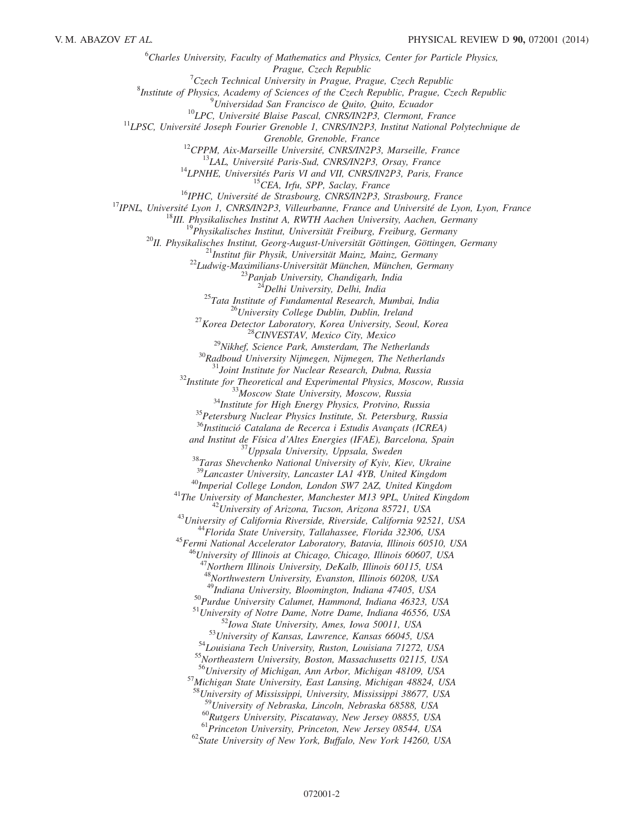${}^{6}$ Charles University, Faculty of Mathematics and Physics, Center for Particle Physics, Prague, Czech Republic<br><sup>7</sup>Czech Technical University in Prague, Pra  $C$ <sub>Czec</sub>h Technical University in Prague, Prague, Czech Republic<sup>8</sup><br><sup>8</sup> Pratitity of Physics, Agadamy of Sciences of the Czech Banyblic, Prague, Cz <sup>8</sup>Institute of Physics, Academy of Sciences of the Czech Republic, Prague, Czech Republic <sup>9</sup>Universidad San Francisco de Quito, Quito, Ecuador <sup>10</sup>LPC, Université Blaise Pascal, CNRS/IN2P3, Clermont, France <sup>11</sup>LPSC, Université Joseph Fourier Grenoble 1, CNRS/IN2P3, Institut National Polytechnique de Grenoble, France<br>
<sup>12</sup>CPPM, Aix-Marsielle Université, CNRS/IN2P3, Marseille, France<br>
<sup>13</sup>LAL, Université Paris-Sud, CNRS/IN2P3, Orsay, France<br>
<sup>14</sup>LPNHE, Universités Paris-Sud, CNRS/IN2P3, Orsay, France<br>
<sup>14</sup>LPNHE, Univer <sup>30</sup>Radboud University Nijmegen, Nijmegen, The Netherlands<br><sup>31</sup>Joint Institute for Nuclear Research, Dubna, Russia<br><sup>32</sup>Institute for Theoretical and Experimental Physics, Moscow, Russia<br><sup>33</sup>Moscow State University, Moscow  $36$ Institució Catalana de Recerca i Estudis Avançats (ICREA) and Institut de Física d'Altes Energies (IFAE), Barcelona, Spain <sup>37</sup>Uppsala University, Uppsala, Sweden<br><sup>38</sup>Taras Shevchenko National University of Kyiv, Kiev, Ukraine <sup>39</sup>Lancaster University, Lancaster LA1 4YB, United Kingdom <sup>40</sup>Imperial College London, London SW7 2AZ, United Kingdom<br><sup>41</sup>The University of Manchester, Manchester M13 9PL, United Kingdom<br><sup>42</sup>University of Arizona, Tucson, Arizona 85721, USA<br><sup>43</sup>University of California Riverside  $^{46}$ University of Illinois at Chicago, Chicago, Illinois 60607, USA <sup>47</sup>Northern Illinois University, DeKalb, Illinois 60115, USA 48<br>Northwestern University, Evanston, Illinois 60208, USA<br><sup>49</sup>Indiana University, Bloomington, Indiana 47405, USA <sup>50</sup>Purdue University Calumet, Hammond, Indiana 46323, USA<br>
<sup>51</sup>University of Notre Dame, Notre Dame, Indiana 46556, USA<br>
<sup>52</sup>Iowa State University, Ames, Iowa 50011, USA<br>
<sup>53</sup>University of Kansas, Lawrence, Kansas 66045, 57 Michigan State University, East Lansing, Michigan 48824, USA  $^{58}$ University of Mississippi, University, Mississippi 38677, USA<br> $^{59}$ University of Nebraska, Lincoln, Nebraska 68588, USA <sup>60</sup>Rutgers University, Piscataway, New Jersey 08855, USA<br><sup>61</sup>Princeton University, Princeton, New Jersey 08544, USA<br><sup>62</sup>State University of New York, Buffalo, New York 14260, USA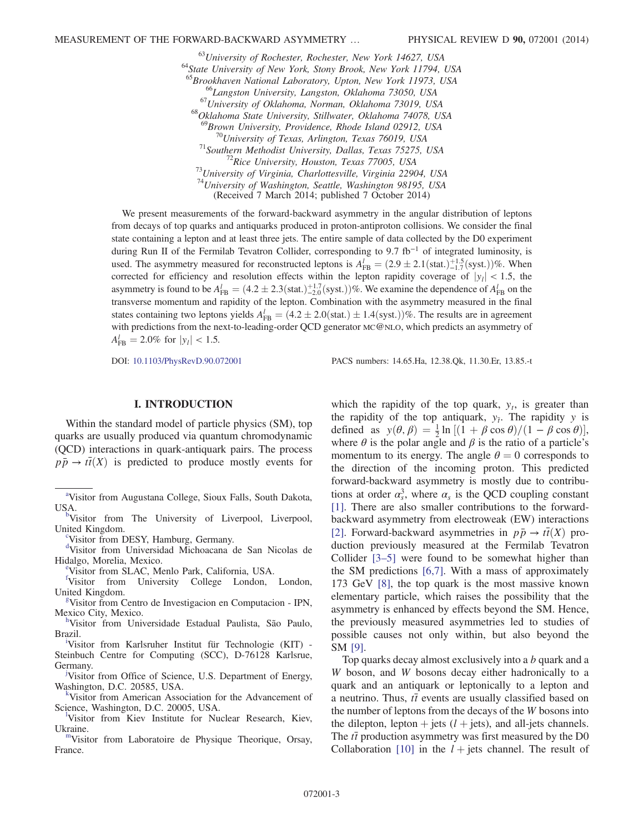$^{63}$ University of Rochester, Rochester, New York 14627, USA<br> $^{64}$ State University of New York, Stony Brook, New York 11794, USA<br> $^{65}$ Brookhaven National Laboratory, Upton, New York 11973, USA <sup>66</sup>Langston University, Langston, Oklahoma 73050, USA<br><sup>67</sup>University of Oklahoma, Norman, Oklahoma 73019, USA<br><sup>68</sup>Oklahoma State University, Stillwater, Oklahoma 74078, USA <sup>69</sup>Brown University, Providence, Rhode Island 02912, USA<br><sup>70</sup>University of Texas, Arlington, Texas 76019, USA<br><sup>71</sup>Southern Methodist University, Dallas, Texas 75275, USA<br><sup>72</sup>Rice University, Houston, Texas 77005, USA<br><sup>73</sup> <sup>74</sup>University of Washington, Seattle, Washington 98195, USA (Received 7 March 2014; published 7 October 2014)

We present measurements of the forward-backward asymmetry in the angular distribution of leptons from decays of top quarks and antiquarks produced in proton-antiproton collisions. We consider the final state containing a lepton and at least three jets. The entire sample of data collected by the D0 experiment during Run II of the Fermilab Tevatron Collider, corresponding to 9.7 fb<sup>−</sup><sup>1</sup> of integrated luminosity, is used. The asymmetry measured for reconstructed leptons is  $A_{FB}^l = (2.9 \pm 2.1 \text{(stat.)}^{+1.5}_{-1.7} \text{(syst.)})\%$ . When corrected for efficiency and resolution effects within the lepton rapidity coverage of  $|y_l|$  < 1.5, the asymmetry is found to be  $A_{FB}^l = (4.2 \pm 2.3(stat.)^{+1.7}_{-2.0}(syst.))\%$ . We examine the dependence of  $A_{FB}^l$  on the transverse momentum and rapidity of the lepton. Combination with the asymmetry measured in the final states containing two leptons yields  $A_{FB}^l = (4.2 \pm 2.0)(\text{stat.}) \pm 1.4(\text{syst.}))\%$ . The results are in agreement with predictions from the next-to-leading-order QCD generator MC@NLO, which predicts an asymmetry of  $A_{\text{FB}}^l = 2.0\% \text{ for } |y_l| < 1.5.$ 

DOI: [10.1103/PhysRevD.90.072001](http://dx.doi.org/10.1103/PhysRevD.90.072001) PACS numbers: 14.65.Ha, 12.38.Qk, 11.30.Er, 13.85.-t

## I. INTRODUCTION

Within the standard model of particle physics (SM), top quarks are usually produced via quantum chromodynamic (QCD) interactions in quark-antiquark pairs. The process  $p\bar{p} \rightarrow t\bar{t}(X)$  is predicted to produce mostly events for

<span id="page-2-2"></span>United Kingdom.<br> $\frac{c_{\text{V}}}{c_{\text{V}}}\times\frac{c_{\text{V}}}{c_{\text{V}}}\times\frac{c_{\text{V}}}{c_{\text{V}}}\times\frac{c_{\text{V}}}{c_{\text{V}}}\times\frac{c_{\text{V}}}{c_{\text{V}}}\times\frac{c_{\text{V}}}{c_{\text{V}}}\times\frac{c_{\text{V}}}{c_{\text{V}}}\times\frac{c_{\text{V}}}{c_{\text{V}}}\times\frac{c_{\text{V}}}{c_{\text{V}}}\times\frac{c_{\text{V}}}{c_{\text{V}}}\times\frac{c$  $\frac{c_{\text{V}}}{c_{\text{V}}}\times\frac{c_{\text{V}}}{c_{\text{V}}}\times\frac{c_{\text{V}}}{c_{\text{V}}}\times\frac{c_{\text{V}}}{c_{\text{V}}}\times\frac{c_{\text{V}}}{c_{\text{V}}}\times\frac{c_{\text{V}}}{c_{\text{V}}}\times\frac{c_{\text{V}}}{c_{\text{V}}}\times\frac{c_{\text{V}}}{c_{\text{V}}}\times\frac{c_{\text{V}}}{c_{\text{V}}}\times\frac{c_{\text{V}}}{c_{\text{V}}}\times\frac{c$  $\frac{c_{\text{V}}}{c_{\text{V}}}\times\frac{c_{\text{V}}}{c_{\text{V}}}\times\frac{c_{\text{V}}}{c_{\text{V}}}\times\frac{c_{\text{V}}}{c_{\text{V}}}\times\frac{c_{\text{V}}}{c_{\text{V}}}\times\frac{c_{\text{V}}}{c_{\text{V}}}\times\frac{c_{\text{V}}}{c_{\text{V}}}\times\frac{c_{\text{V}}}{c_{\text{V}}}\times\frac{c_{\text{V}}}{c_{\text{V}}}\times\frac{c_{\text{V}}}{c_{\text{V}}}\times\frac{c$ 

<span id="page-2-4"></span>Visitor from DESY, Hamburg, Germany.

<span id="page-2-6"></span>[d](#page-0-3) Visitor from Universidad Michoacana de San Nicolas de Hidalgo, Mor[e](#page-0-4)lia, Mexico.

Visitor from SLAC, Menlo Park, California, USA.

<span id="page-2-10"></span><span id="page-2-7"></span>[f](#page-0-3) Visitor from University College London, London, United Kin[g](#page-0-5)dom.

<span id="page-2-8"></span>Visitor from Centro de Investigacion en Computacion - IPN, Mexico City, Mexico.

<span id="page-2-12"></span>Visitor from Universidade Estadual Paulista, São Paulo, Braz[i](#page-0-7)l.

<span id="page-2-9"></span>Visitor from Karlsruher Institut für Technologie (KIT) - Steinbuch Centre for Computing (SCC), D-76128 Karlsrue, Germany.

<span id="page-2-11"></span>Visitor from Office of Science, U.S. Department of Energy, Washington, D.C. 20585, USA. [k](#page-0-8)

<span id="page-2-3"></span>Visitor from American Association for the Advancement of Science, Washington, D.C. 20005, USA.

<span id="page-2-1"></span>Visitor from Kiev Institute for Nuclear Research, Kiev, Ukraine.<br><sup>[m](#page-0-10)</sup>Visitor from Laboratoire de Physique Theorique, Orsay,

<span id="page-2-5"></span>France.

which the rapidity of the top quark,  $y_t$ , is greater than the rapidity of the top antiquark,  $y_{\bar{i}}$ . The rapidity y is defined as  $y(\theta, \beta) = \frac{1}{2} \ln \left[ (1 + \beta \cos \theta) / (1 - \beta \cos \theta) \right],$ where  $\theta$  is the polar angle and  $\beta$  is the ratio of a particle's momentum to its energy. The angle  $\theta = 0$  corresponds to the direction of the incoming proton. This predicted forward-backward asymmetry is mostly due to contributions at order  $\alpha_s^3$ , where  $\alpha_s$  is the QCD coupling constant [\[1\]](#page-17-0). There are also smaller contributions to the forwardbackward asymmetry from electroweak (EW) interactions [\[2\]](#page-17-1). Forward-backward asymmetries in  $p\bar{p} \rightarrow t\bar{t}(X)$  production previously measured at the Fermilab Tevatron Collider [\[3](#page-17-2)–5] were found to be somewhat higher than the SM predictions [\[6,7\].](#page-17-3) With a mass of approximately 173 GeV [\[8\]](#page-17-4), the top quark is the most massive known elementary particle, which raises the possibility that the asymmetry is enhanced by effects beyond the SM. Hence, the previously measured asymmetries led to studies of possible causes not only within, but also beyond the SM [\[9\].](#page-17-5)

Top quarks decay almost exclusively into a b quark and a W boson, and W bosons decay either hadronically to a quark and an antiquark or leptonically to a lepton and a neutrino. Thus,  $t\bar{t}$  events are usually classified based on the number of leptons from the decays of the W bosons into the dilepton, lepton  $+$  jets ( $l$  + jets), and all-jets channels. The  $t\bar{t}$  production asymmetry was first measured by the D0 Collaboration [\[10\]](#page-17-6) in the  $l +$  jets channel. The result of

<span id="page-2-0"></span><sup>&</sup>lt;sup>[a](#page-0-0)</sup>Visitor from Augustana College, Sioux Falls, South Dakota, USA.<[b](#page-0-1)r><sup>b</sup>Visitor from The University of Liverpool, Liverpool,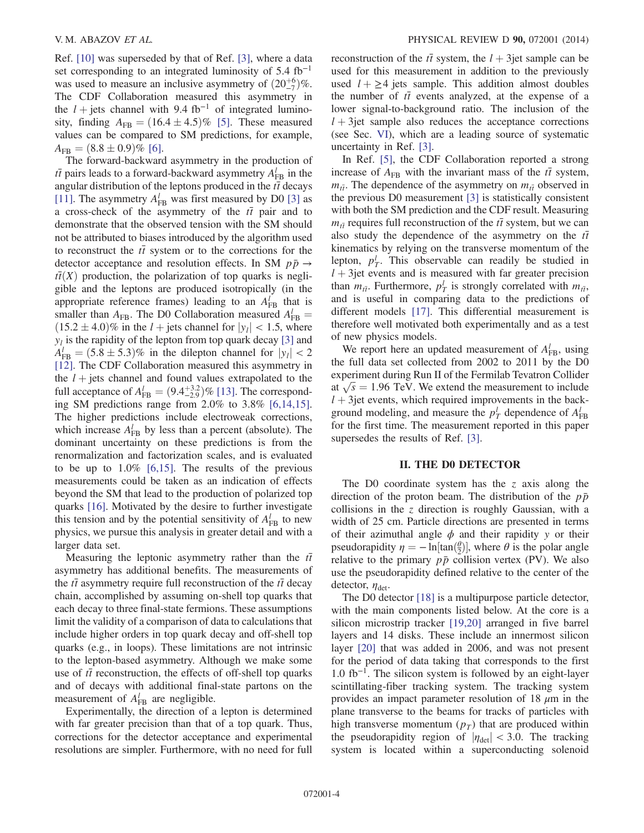Ref. [\[10\]](#page-17-6) was superseded by that of Ref. [\[3\],](#page-17-2) where a data set corresponding to an integrated luminosity of  $5.4 \text{ fb}^{-1}$ was used to measure an inclusive asymmetry of  $(20\frac{+6}{7})\%$ . The CDF Collaboration measured this asymmetry in the  $l$  + jets channel with 9.4 fb<sup>-1</sup> of integrated luminosity, finding  $A_{FB} = (16.4 \pm 4.5)\%$  [\[5\].](#page-17-7) These measured values can be compared to SM predictions, for example,  $A_{FB} = (8.8 \pm 0.9)\%$  [\[6\]](#page-17-3).

The forward-backward asymmetry in the production of  $t\bar{t}$  pairs leads to a forward-backward asymmetry  $A_{FB}^l$  in the angular distribution of the leptons produced in the  $t\bar{t}$  decays [\[11\]](#page-17-8). The asymmetry  $A_{FB}^l$  was first measured by D0 [\[3\]](#page-17-2) as a cross-check of the asymmetry of the  $t\bar{t}$  pair and to demonstrate that the observed tension with the SM should not be attributed to biases introduced by the algorithm used to reconstruct the  $t\bar{t}$  system or to the corrections for the detector acceptance and resolution effects. In SM  $p\bar{p} \rightarrow$  $t\bar{t}(X)$  production, the polarization of top quarks is negligible and the leptons are produced isotropically (in the appropriate reference frames) leading to an  $A_{FB}^l$  that is smaller than  $A_{FB}$ . The D0 Collaboration measured  $A_{FB}^l =$  $(15.2 \pm 4.0)$ % in the *l* + jets channel for  $|y_l|$  < 1.5, where  $y_l$  is the rapidity of the lepton from top quark decay [\[3\]](#page-17-2) and  $A_{\text{FB}}^l = (5.8 \pm 5.3)\%$  in the dilepton channel for  $|y_l| < 2$ [\[12\]](#page-17-9). The CDF Collaboration measured this asymmetry in the  $l +$  jets channel and found values extrapolated to the full acceptance of  $A_{FB}^l = (9.4_{-2.9}^{+3.2})\%$  [\[13\]](#page-17-10). The corresponding SM predictions range from 2.0% to 3.8% [\[6,14,15\]](#page-17-3). The higher predictions include electroweak corrections, which increase  $A_{FB}^l$  by less than a percent (absolute). The dominant uncertainty on these predictions is from the renormalization and factorization scales, and is evaluated to be up to  $1.0\%$  [\[6,15\].](#page-17-3) The results of the previous measurements could be taken as an indication of effects beyond the SM that lead to the production of polarized top quarks [\[16\]](#page-17-11). Motivated by the desire to further investigate this tension and by the potential sensitivity of  $A_{FB}^l$  to new physics, we pursue this analysis in greater detail and with a larger data set.

Measuring the leptonic asymmetry rather than the  $t\bar{t}$ asymmetry has additional benefits. The measurements of the  $t\bar{t}$  asymmetry require full reconstruction of the  $t\bar{t}$  decay chain, accomplished by assuming on-shell top quarks that each decay to three final-state fermions. These assumptions limit the validity of a comparison of data to calculations that include higher orders in top quark decay and off-shell top quarks (e.g., in loops). These limitations are not intrinsic to the lepton-based asymmetry. Although we make some use of  $t\bar{t}$  reconstruction, the effects of off-shell top quarks and of decays with additional final-state partons on the measurement of  $A_{FB}^l$  are negligible.

Experimentally, the direction of a lepton is determined with far greater precision than that of a top quark. Thus, corrections for the detector acceptance and experimental resolutions are simpler. Furthermore, with no need for full reconstruction of the  $t\bar{t}$  system, the  $l + 3$ jet sample can be used for this measurement in addition to the previously used  $l + \geq 4$  jets sample. This addition almost doubles the number of  $t\bar{t}$  events analyzed, at the expense of a lower signal-to-background ratio. The inclusion of the  $l + 3$ jet sample also reduces the acceptance corrections (see Sec. [VI](#page-6-0)), which are a leading source of systematic uncertainty in Ref. [\[3\]](#page-17-2).

In Ref. [\[5\]](#page-17-7), the CDF Collaboration reported a strong increase of  $A_{FB}$  with the invariant mass of the  $t\bar{t}$  system,  $m_{t\bar{t}}$ . The dependence of the asymmetry on  $m_{t\bar{t}}$  observed in the previous D0 measurement [\[3\]](#page-17-2) is statistically consistent with both the SM prediction and the CDF result. Measuring  $m_{t\bar{t}}$  requires full reconstruction of the  $t\bar{t}$  system, but we can also study the dependence of the asymmetry on the  $t\bar{t}$ kinematics by relying on the transverse momentum of the lepton,  $p_T^l$ . This observable can readily be studied in  $l + 3$  jet events and is measured with far greater precision than  $m_{t\bar{t}}$ . Furthermore,  $p_T^l$  is strongly correlated with  $m_{t\bar{t}}$ , and is useful in comparing data to the predictions of different models [\[17\].](#page-17-12) This differential measurement is therefore well motivated both experimentally and as a test of new physics models.

We report here an updated measurement of  $A_{FB}^l$ , using the full data set collected from 2002 to 2011 by the D0 experiment during Run II of the Fermilab Tevatron Collider at  $\sqrt{s} = 1.96$  TeV. We extend the measurement to include  $l + 3$  jet events, which required improvements in the background modeling, and measure the  $p_T^l$  dependence of  $A_{FB}^l$ for the first time. The measurement reported in this paper supersedes the results of Ref. [\[3\]](#page-17-2).

#### II. THE D0 DETECTOR

The D0 coordinate system has the  $z$  axis along the direction of the proton beam. The distribution of the  $p\bar{p}$ collisions in the  $z$  direction is roughly Gaussian, with a width of 25 cm. Particle directions are presented in terms of their azimuthal angle  $\phi$  and their rapidity y or their pseudorapidity  $\eta = -\ln[\tan(\frac{\theta}{2})]$ , where  $\theta$  is the polar angle relative to the primary  $p\bar{p}$  collision vertex (PV). We also use the pseudorapidity defined relative to the center of the detector,  $\eta_{\text{det}}$ .

The D0 detector [\[18\]](#page-17-13) is a multipurpose particle detector, with the main components listed below. At the core is a silicon microstrip tracker [\[19,20\]](#page-17-14) arranged in five barrel layers and 14 disks. These include an innermost silicon layer [\[20\]](#page-17-15) that was added in 2006, and was not present for the period of data taking that corresponds to the first  $1.0 \text{ fb}^{-1}$ . The silicon system is followed by an eight-layer scintillating-fiber tracking system. The tracking system provides an impact parameter resolution of 18  $\mu$ m in the plane transverse to the beams for tracks of particles with high transverse momentum  $(p_T)$  that are produced within the pseudorapidity region of  $|\eta_{\text{det}}| < 3.0$ . The tracking system is located within a superconducting solenoid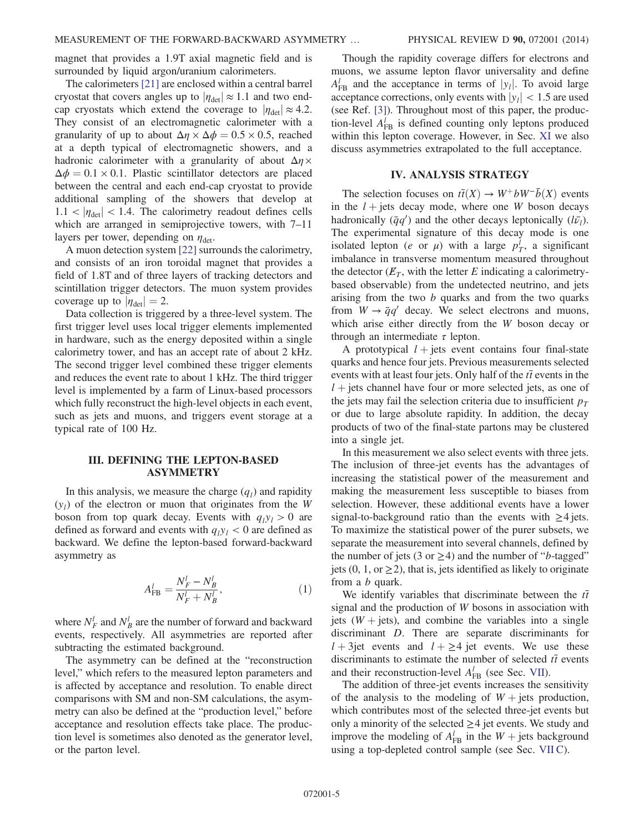magnet that provides a 1.9T axial magnetic field and is surrounded by liquid argon/uranium calorimeters.

The calorimeters [\[21\]](#page-17-16) are enclosed within a central barrel cryostat that covers angles up to  $|\eta_{\text{det}}| \approx 1.1$  and two endcap cryostats which extend the coverage to  $|\eta_{\text{det}}| \approx 4.2$ . They consist of an electromagnetic calorimeter with a granularity of up to about  $\Delta \eta \times \Delta \phi = 0.5 \times 0.5$ , reached at a depth typical of electromagnetic showers, and a hadronic calorimeter with a granularity of about  $\Delta \eta \times$  $\Delta \phi = 0.1 \times 0.1$ . Plastic scintillator detectors are placed between the central and each end-cap cryostat to provide additional sampling of the showers that develop at  $1.1 < |\eta_{\text{det}}| < 1.4$ . The calorimetry readout defines cells which are arranged in semiprojective towers, with 7-11 layers per tower, depending on  $\eta_{\text{det}}$ .

A muon detection system [\[22\]](#page-17-17) surrounds the calorimetry, and consists of an iron toroidal magnet that provides a field of 1.8T and of three layers of tracking detectors and scintillation trigger detectors. The muon system provides coverage up to  $|\eta_{\text{det}}| = 2$ .

Data collection is triggered by a three-level system. The first trigger level uses local trigger elements implemented in hardware, such as the energy deposited within a single calorimetry tower, and has an accept rate of about 2 kHz. The second trigger level combined these trigger elements and reduces the event rate to about 1 kHz. The third trigger level is implemented by a farm of Linux-based processors which fully reconstruct the high-level objects in each event, such as jets and muons, and triggers event storage at a typical rate of 100 Hz.

## III. DEFINING THE LEPTON-BASED ASYMMETRY

In this analysis, we measure the charge  $(q_l)$  and rapidity  $(y<sub>l</sub>)$  of the electron or muon that originates from the W boson from top quark decay. Events with  $q_1y_1 > 0$  are defined as forward and events with  $q_1y_1 < 0$  are defined as backward. We define the lepton-based forward-backward asymmetry as

$$
A_{\rm FB}^l = \frac{N_F^l - N_B^l}{N_F^l + N_B^l},\tag{1}
$$

where  $N_F^l$  and  $N_B^l$  are the number of forward and backward events, respectively. All asymmetries are reported after subtracting the estimated background.

The asymmetry can be defined at the "reconstruction level," which refers to the measured lepton parameters and is affected by acceptance and resolution. To enable direct comparisons with SM and non-SM calculations, the asymmetry can also be defined at the "production level," before acceptance and resolution effects take place. The production level is sometimes also denoted as the generator level, or the parton level.

Though the rapidity coverage differs for electrons and muons, we assume lepton flavor universality and define  $A_{\text{FB}}^l$  and the acceptance in terms of  $|y_l|$ . To avoid large acceptance corrections, only events with  $|y_l|$  < 1.5 are used (see Ref. [\[3\]\)](#page-17-2). Throughout most of this paper, the production-level  $A_{FB}^{l}$  is defined counting only leptons produced within this lepton coverage. However, in Sec. [XI](#page-16-0) we also discuss asymmetries extrapolated to the full acceptance.

## IV. ANALYSIS STRATEGY

The selection focuses on  $t\bar{t}(X) \rightarrow W^+bW^-\bar{b}(X)$  events in the  $l +$  jets decay mode, where one W boson decays hadronically  $(\bar{q}q')$  and the other decays leptonically  $(l\bar{v}_l)$ . The experimental signature of this decay mode is one isolated lepton (*e* or  $\mu$ ) with a large  $p_T^l$ , a significant imbalance in transverse momentum measured throughout the detector  $(E_T)$ , with the letter E indicating a calorimetrybased observable) from the undetected neutrino, and jets arising from the two  $b$  quarks and from the two quarks from  $W \rightarrow \bar{q}q'$  decay. We select electrons and muons, which arise either directly from the W boson decay or through an intermediate  $\tau$  lepton.

A prototypical  $l +$  jets event contains four final-state quarks and hence four jets. Previous measurements selected events with at least four jets. Only half of the  $t\bar{t}$  events in the  $l +$  jets channel have four or more selected jets, as one of the jets may fail the selection criteria due to insufficient  $p_T$ or due to large absolute rapidity. In addition, the decay products of two of the final-state partons may be clustered into a single jet.

In this measurement we also select events with three jets. The inclusion of three-jet events has the advantages of increasing the statistical power of the measurement and making the measurement less susceptible to biases from selection. However, these additional events have a lower signal-to-background ratio than the events with  $\geq 4$  jets. To maximize the statistical power of the purer subsets, we separate the measurement into several channels, defined by the number of jets (3 or  $\geq$ 4) and the number of "*b*-tagged" jets (0, 1, or  $\geq$ 2), that is, jets identified as likely to originate from a b quark.

We identify variables that discriminate between the  $t\bar{t}$ signal and the production of W bosons in association with jets  $(W + jets)$ , and combine the variables into a single discriminant D. There are separate discriminants for  $l + 3$ jet events and  $l + \geq 4$  jet events. We use these discriminants to estimate the number of selected  $t\bar{t}$  events and their reconstruction-level  $A_{FB}^l$  (see Sec. [VII\)](#page-6-1).

The addition of three-jet events increases the sensitivity of the analysis to the modeling of  $W +$  jets production, which contributes most of the selected three-jet events but only a minority of the selected  $\geq$  4 jet events. We study and improve the modeling of  $A_{FB}^l$  in the  $W + \text{jets}$  background using a top-depleted control sample (see Sec. [VII C\)](#page-9-0).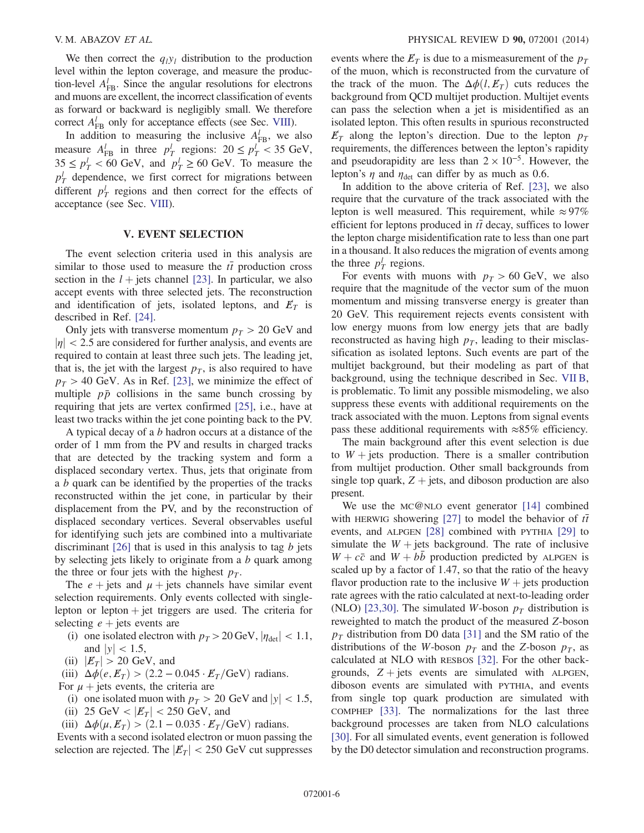We then correct the  $q_1y_1$  distribution to the production level within the lepton coverage, and measure the production-level  $A_{FB}^l$ . Since the angular resolutions for electrons and muons are excellent, the incorrect classification of events as forward or backward is negligibly small. We therefore correct  $A_{FB}^l$  only for acceptance effects (see Sec. [VIII](#page-12-0)).

In addition to measuring the inclusive  $A_{FB}^l$ , we also measure  $A_{FB}^l$  in three  $p_T^l$  regions:  $20 \le p_T^l < 35$  GeV,  $35 \le p_T^l < 60$  GeV, and  $p_T^l \ge 60$  GeV. To measure the  $p_T^l$  dependence, we first correct for migrations between different  $p_T^l$  regions and then correct for the effects of acceptance (see Sec. [VIII](#page-12-0)).

## V. EVENT SELECTION

<span id="page-5-0"></span>The event selection criteria used in this analysis are similar to those used to measure the  $t\bar{t}$  production cross section in the  $l +$  jets channel [\[23\]](#page-17-18). In particular, we also accept events with three selected jets. The reconstruction and identification of jets, isolated leptons, and  $E_T$  is described in Ref. [\[24\].](#page-17-19)

Only jets with transverse momentum  $p_T > 20$  GeV and  $|\eta|$  < 2.5 are considered for further analysis, and events are required to contain at least three such jets. The leading jet, that is, the jet with the largest  $p<sub>T</sub>$ , is also required to have  $p_T > 40$  GeV. As in Ref. [\[23\],](#page-17-18) we minimize the effect of multiple  $p\bar{p}$  collisions in the same bunch crossing by requiring that jets are vertex confirmed [\[25\],](#page-17-20) i.e., have at least two tracks within the jet cone pointing back to the PV.

A typical decay of a b hadron occurs at a distance of the order of 1 mm from the PV and results in charged tracks that are detected by the tracking system and form a displaced secondary vertex. Thus, jets that originate from a b quark can be identified by the properties of the tracks reconstructed within the jet cone, in particular by their displacement from the PV, and by the reconstruction of displaced secondary vertices. Several observables useful for identifying such jets are combined into a multivariate discriminant  $[26]$  that is used in this analysis to tag b jets by selecting jets likely to originate from a  $b$  quark among the three or four jets with the highest  $p_T$ .

The  $e + \text{jets}$  and  $\mu + \text{jets}$  channels have similar event selection requirements. Only events collected with singlelepton or lepton  $+$  jet triggers are used. The criteria for selecting  $e +$  jets events are

- (i) one isolated electron with  $p_T > 20 \,\text{GeV}, |\eta_{\text{det}}| < 1.1$ , and  $|y|$  < 1.5,
- (ii)  $|E_T| > 20$  GeV, and
- (iii)  $\Delta \phi(e, E_T) > (2.2 0.045 \cdot E_T/\text{GeV})$  radians.

For  $\mu$  + jets events, the criteria are

- (i) one isolated muon with  $p_T > 20$  GeV and  $|y| < 1.5$ , (ii) 25 GeV <  $|E_T|$  < 250 GeV, and
- (iii)  $\Delta \phi(\mu, E_T) > (2.1 0.035 \cdot E_T/\text{GeV})$  radians.

Events with a second isolated electron or muon passing the selection are rejected. The  $|E_T| < 250$  GeV cut suppresses events where the  $E_T$  is due to a mismeasurement of the  $p_T$ of the muon, which is reconstructed from the curvature of the track of the muon. The  $\Delta \phi(l, E_T)$  cuts reduces the background from QCD multijet production. Multijet events can pass the selection when a jet is misidentified as an isolated lepton. This often results in spurious reconstructed  $E_T$  along the lepton's direction. Due to the lepton  $p_T$ requirements, the differences between the lepton's rapidity and pseudorapidity are less than  $2 \times 10^{-5}$ . However, the lepton's  $\eta$  and  $\eta_{\text{det}}$  can differ by as much as 0.6.

In addition to the above criteria of Ref. [\[23\]](#page-17-18), we also require that the curvature of the track associated with the lepton is well measured. This requirement, while  $\approx 97\%$ efficient for leptons produced in  $t\bar{t}$  decay, suffices to lower the lepton charge misidentification rate to less than one part in a thousand. It also reduces the migration of events among the three  $p_T^l$  regions.

For events with muons with  $p_T > 60$  GeV, we also require that the magnitude of the vector sum of the muon momentum and missing transverse energy is greater than 20 GeV. This requirement rejects events consistent with low energy muons from low energy jets that are badly reconstructed as having high  $p<sub>T</sub>$ , leading to their misclassification as isolated leptons. Such events are part of the multijet background, but their modeling as part of that background, using the technique described in Sec. [VII B](#page-8-0), is problematic. To limit any possible mismodeling, we also suppress these events with additional requirements on the track associated with the muon. Leptons from signal events pass these additional requirements with  $\approx 85\%$  efficiency.

The main background after this event selection is due to  $W +$  jets production. There is a smaller contribution from multijet production. Other small backgrounds from single top quark,  $Z + \text{jets}$ , and diboson production are also present.

We use the MC@NLO event generator [\[14\]](#page-17-22) combined with HERWIG showering [\[27\]](#page-17-23) to model the behavior of  $t\bar{t}$ events, and ALPGEN [\[28\]](#page-17-24) combined with PYTHIA [\[29\]](#page-17-25) to simulate the  $W +$  jets background. The rate of inclusive  $W + c\bar{c}$  and  $W + bb$  production predicted by ALPGEN is scaled up by a factor of 1.47, so that the ratio of the heavy flavor production rate to the inclusive  $W +$  jets production rate agrees with the ratio calculated at next-to-leading order (NLO) [\[23,30\].](#page-17-18) The simulated W-boson  $p<sub>T</sub>$  distribution is reweighted to match the product of the measured Z-boson  $p_T$  distribution from D0 data [\[31\]](#page-17-26) and the SM ratio of the distributions of the W-boson  $p_T$  and the Z-boson  $p_T$ , as calculated at NLO with RESBOS [\[32\]](#page-17-27). For the other backgrounds,  $Z + jets$  events are simulated with ALPGEN, diboson events are simulated with PYTHIA, and events from single top quark production are simulated with COMPHEP [\[33\].](#page-17-28) The normalizations for the last three background processes are taken from NLO calculations [\[30\]](#page-17-29). For all simulated events, event generation is followed by the D0 detector simulation and reconstruction programs.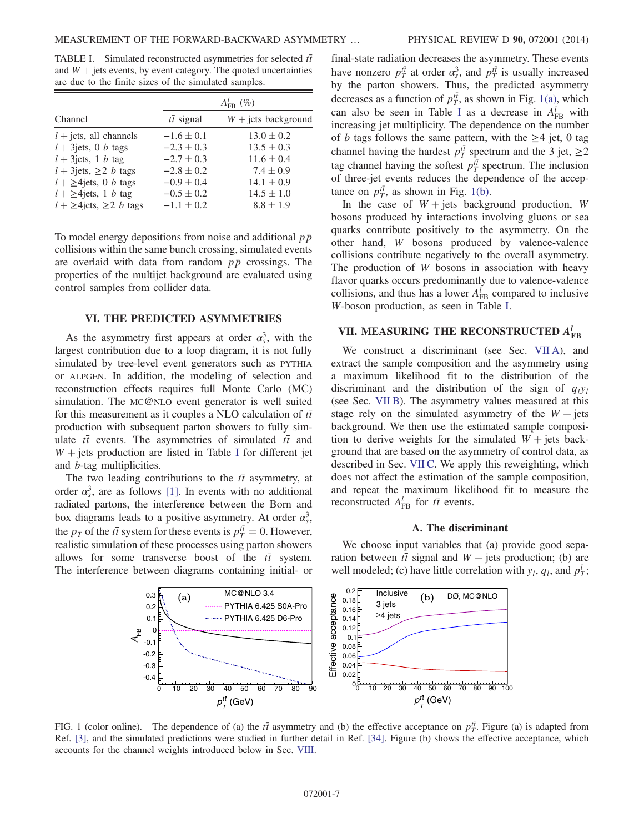<span id="page-6-2"></span>TABLE I. Simulated reconstructed asymmetries for selected  $t\bar{t}$ and  $W +$  jets events, by event category. The quoted uncertainties are due to the finite sizes of the simulated samples.

|                                      |                   | $A_{\text{FR}}^{l}(\%)$ |
|--------------------------------------|-------------------|-------------------------|
| Channel                              | $t\bar{t}$ signal | $W +$ jets background   |
| $l$ + jets, all channels             | $-1.6 \pm 0.1$    | $13.0 \pm 0.2$          |
| $l + 3$ jets, 0 <i>b</i> tags        | $-2.3 \pm 0.3$    | $13.5 \pm 0.3$          |
| $l + 3$ jets, 1 b tag                | $-2.7 \pm 0.3$    | $11.6 \pm 0.4$          |
| $l + 3$ jets, $\geq 2$ <i>b</i> tags | $-2.8 \pm 0.2$    | $7.4 \pm 0.9$           |
| $l + \geq 4$ jets, 0 b tags          | $-0.9 \pm 0.4$    | $14.1 \pm 0.9$          |
| $l + \geq 4$ jets, 1 b tag           | $-0.5 \pm 0.2$    | $14.5 \pm 1.0$          |
| $l + \geq 4$ jets, $\geq 2$ b tags   | $-1.1 \pm 0.2$    | $8.8 \pm 1.9$           |

To model energy depositions from noise and additional  $p\bar{p}$ collisions within the same bunch crossing, simulated events are overlaid with data from random  $p\bar{p}$  crossings. The properties of the multijet background are evaluated using control samples from collider data.

#### VI. THE PREDICTED ASYMMETRIES

<span id="page-6-0"></span>As the asymmetry first appears at order  $\alpha_s^3$ , with the largest contribution due to a loop diagram, it is not fully simulated by tree-level event generators such as PYTHIA or ALPGEN. In addition, the modeling of selection and reconstruction effects requires full Monte Carlo (MC) simulation. The MC@NLO event generator is well suited for this measurement as it couples a NLO calculation of  $t\bar{t}$ production with subsequent parton showers to fully simulate  $t\bar{t}$  events. The asymmetries of simulated  $t\bar{t}$  and  $W$  + jets production are listed in Table [I](#page-6-2) for different jet and b-tag multiplicities.

The two leading contributions to the  $t\bar{t}$  asymmetry, at order  $\alpha_s^3$ , are as follows [\[1\].](#page-17-0) In events with no additional radiated partons, the interference between the Born and box diagrams leads to a positive asymmetry. At order  $\alpha_s^3$ , the  $p_T$  of the  $t\bar{t}$  system for these events is  $p_T^{\bar{t}} = 0$ . However, realistic simulation of these processes using parton showers allows for some transverse boost of the  $t\bar{t}$  system. The interference between diagrams containing initial- or final-state radiation decreases the asymmetry. These events have nonzero  $p_T^{t\bar{t}}$  at order  $\alpha_s^3$ , and  $p_T^{t\bar{t}}$  is usually increased by the parton showers. Thus, the predicted asymmetry decreases as a function of  $p_T^{t\bar{t}}$ , as shown in Fig. [1\(a\)](#page-6-3), which can also be seen in Table [I](#page-6-2) as a decrease in  $A_{FB}^l$  with increasing jet multiplicity. The dependence on the number of *b* tags follows the same pattern, with the  $\geq$ 4 jet, 0 tag channel having the hardest  $p_T^{t\bar{t}}$  spectrum and the 3 jet,  $\geq$  2 tag channel having the softest  $p_T^{t\bar{t}}$  spectrum. The inclusion of three-jet events reduces the dependence of the acceptance on  $p_T^{t\bar{t}}$ , as shown in Fig. [1\(b\).](#page-6-3)

In the case of  $W + \text{jets}$  background production, W bosons produced by interactions involving gluons or sea quarks contribute positively to the asymmetry. On the other hand, W bosons produced by valence-valence collisions contribute negatively to the overall asymmetry. The production of W bosons in association with heavy flavor quarks occurs predominantly due to valence-valence collisions, and thus has a lower  $A_{FB}^l$  compared to inclusive W-boson production, as seen in Table [I.](#page-6-2)

## <span id="page-6-1"></span>VII. MEASURING THE RECONSTRUCTED  $A_{\rm FB}^l$

We construct a discriminant (see Sec. [VII A](#page-6-4)), and extract the sample composition and the asymmetry using a maximum likelihood fit to the distribution of the discriminant and the distribution of the sign of  $q_1y_1$ (see Sec. [VII B](#page-8-0)). The asymmetry values measured at this stage rely on the simulated asymmetry of the  $W +$  jets background. We then use the estimated sample composition to derive weights for the simulated  $W +$  jets background that are based on the asymmetry of control data, as described in Sec. [VII C.](#page-9-0) We apply this reweighting, which does not affect the estimation of the sample composition, and repeat the maximum likelihood fit to measure the reconstructed  $A_{\text{FB}}^l$  for  $t\bar{t}$  events.

### A. The discriminant

<span id="page-6-4"></span>We choose input variables that (a) provide good separation between  $t\bar{t}$  signal and  $W +$  jets production; (b) are well modeled; (c) have little correlation with  $y_l$ ,  $q_l$ , and  $p_T^l$ ;

<span id="page-6-3"></span>

FIG. 1 (color online). The dependence of (a) the  $t\bar{t}$  asymmetry and (b) the effective acceptance on  $p_T^{\bar{t}}$ . Figure (a) is adapted from Ref. [\[3\]](#page-17-2), and the simulated predictions were studied in further detail in Ref. [\[34\]](#page-17-30). Figure (b) shows the effective acceptance, which accounts for the channel weights introduced below in Sec. [VIII.](#page-12-0)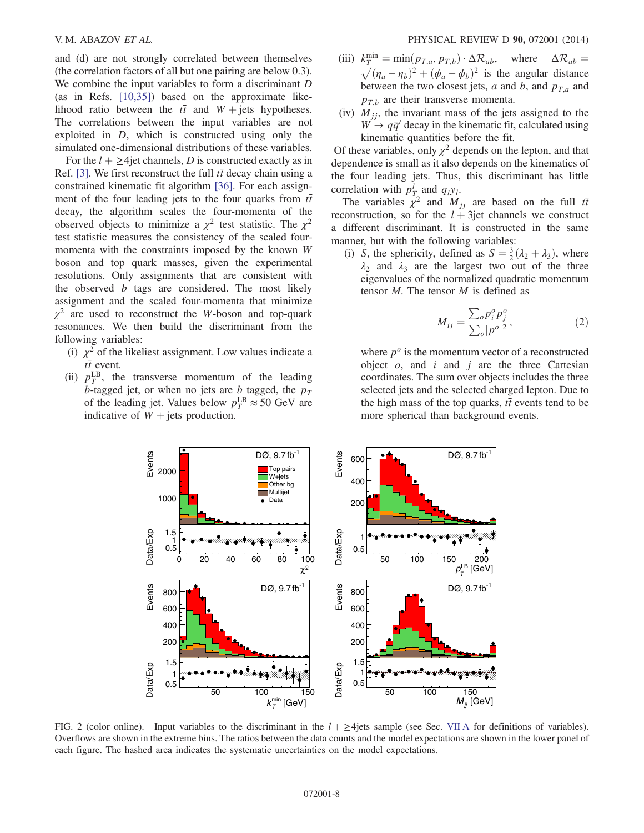and (d) are not strongly correlated between themselves (the correlation factors of all but one pairing are below 0.3). We combine the input variables to form a discriminant D (as in Refs. [\[10,35\]\)](#page-17-6) based on the approximate likelihood ratio between the  $t\bar{t}$  and  $W$  + jets hypotheses. The correlations between the input variables are not exploited in D, which is constructed using only the simulated one-dimensional distributions of these variables.

For the  $l + \geq 4$  jet channels, D is constructed exactly as in Ref. [\[3\]](#page-17-2). We first reconstruct the full  $t\bar{t}$  decay chain using a constrained kinematic fit algorithm [\[36\]](#page-17-31). For each assignment of the four leading jets to the four quarks from  $t\bar{t}$ decay, the algorithm scales the four-momenta of the observed objects to minimize a  $\chi^2$  test statistic. The  $\chi^2$ test statistic measures the consistency of the scaled fourmomenta with the constraints imposed by the known W boson and top quark masses, given the experimental resolutions. Only assignments that are consistent with the observed  $b$  tags are considered. The most likely assignment and the scaled four-momenta that minimize  $\chi^2$  are used to reconstruct the W-boson and top-quark resonances. We then build the discriminant from the following variables:

- (i)  $\chi^2$  of the likeliest assignment. Low values indicate a  $t\bar{t}$  event.
- <span id="page-7-0"></span>(ii)  $p_T^{\text{LB}}$ , the transverse momentum of the leading b-tagged jet, or when no jets are b tagged, the  $p_T$ of the leading jet. Values below  $p_T^{\text{LB}} \approx 50 \text{ GeV}$  are indicative of  $W +$  jets production.
- (iii)  $k_T^{\text{min}} = \min(p_{T,a}, p_{T,b}) \cdot \Delta \mathcal{R}_{ab}$ , where  $\Delta \mathcal{R}_{ab} = \sqrt{(n_a n_b)^2 + (\phi_a \phi_b)^2}$  is the angular distance  $\sqrt{(\eta_a - \eta_b)^2 + (\phi_a - \phi_b)^2}$  is the angular distance between the two closest jets, a and b, and  $p_{T,a}$  and  $p_{T,h}$  are their transverse momenta.
- (iv)  $M_{jj}$ , the invariant mass of the jets assigned to the  $W \rightarrow q\bar{q}'$  decay in the kinematic fit, calculated using kinematic quantities before the fit.

Of these variables, only  $\chi^2$  depends on the lepton, and that dependence is small as it also depends on the kinematics of the four leading jets. Thus, this discriminant has little correlation with  $p_T^l$  and  $q_l y_l$ .

The variables  $\chi^2$  and  $M_{jj}$  are based on the full  $t\bar{t}$ reconstruction, so for the  $l + 3$ jet channels we construct a different discriminant. It is constructed in the same manner, but with the following variables:

(i) S, the sphericity, defined as  $S = \frac{3}{2}(\lambda_2 + \lambda_3)$ , where  $\lambda_2$  and  $\lambda_3$  are the largest two out of the three eigenvalues of the normalized quadratic momentum tensor  $M$ . The tensor  $M$  is defined as

$$
M_{ij} = \frac{\sum_{o} p_i^o p_j^o}{\sum_{o} |p^o|^2},\tag{2}
$$

where  $p^{\circ}$  is the momentum vector of a reconstructed object  $o$ , and  $i$  and  $j$  are the three Cartesian coordinates. The sum over objects includes the three selected jets and the selected charged lepton. Due to the high mass of the top quarks,  $t\bar{t}$  events tend to be more spherical than background events.



FIG. 2 (color online). Input variables to the discriminant in the  $l + \geq 4$ jets sample (see Sec. [VII A](#page-6-4) for definitions of variables). Overflows are shown in the extreme bins. The ratios between the data counts and the model expectations are shown in the lower panel of each figure. The hashed area indicates the systematic uncertainties on the model expectations.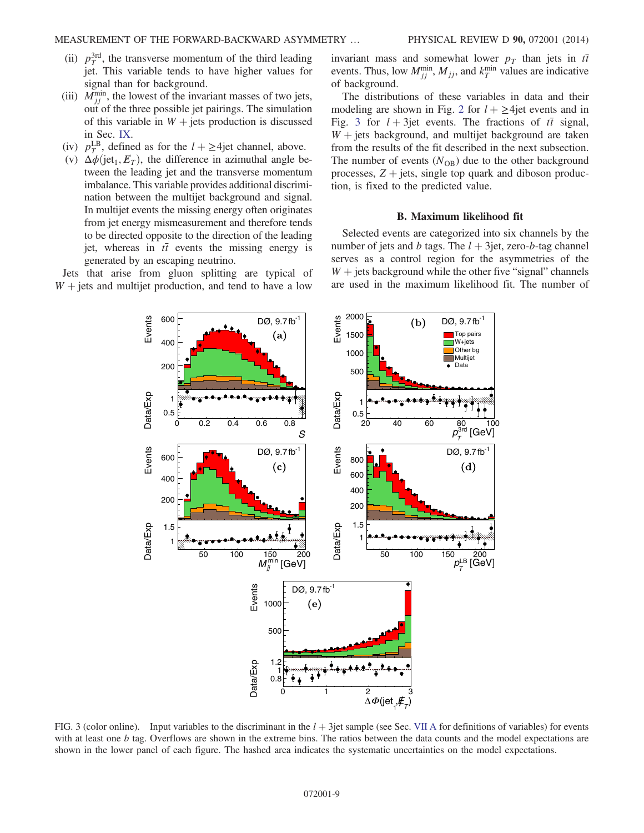- (ii)  $p_T^{\text{3rd}}$ , the transverse momentum of the third leading jet. This variable tends to have higher values for signal than for background.
- (iii)  $M_{jj}^{\min}$ , the lowest of the invariant masses of two jets, out of the three possible jet pairings. The simulation of this variable in  $W +$  jets production is discussed in Sec. [IX](#page-13-0).
- (iv)  $p_T^{\text{LB}}$ , defined as for the  $l + \geq 4$ jet channel, above.
- (v)  $\Delta \phi$ (jet<sub>1</sub>,  $E_T$ ), the difference in azimuthal angle between the leading jet and the transverse momentum imbalance. This variable provides additional discrimination between the multijet background and signal. In multijet events the missing energy often originates from jet energy mismeasurement and therefore tends to be directed opposite to the direction of the leading jet, whereas in  $t\bar{t}$  events the missing energy is generated by an escaping neutrino.

<span id="page-8-1"></span>Jets that arise from gluon splitting are typical of  $W +$  jets and multijet production, and tend to have a low invariant mass and somewhat lower  $p<sub>T</sub>$  than jets in  $t\bar{t}$ events. Thus, low  $M_{jj}^{\min}$ ,  $M_{jj}$ , and  $k_T^{\min}$  values are indicative of background.

The distributions of these variables in data and their modeling are shown in Fig. [2](#page-7-0) for  $l + \geq 4$ jet events and in Fig. [3](#page-8-1) for  $l + 3$ jet events. The fractions of  $t\bar{t}$  signal,  $W +$  jets background, and multijet background are taken from the results of the fit described in the next subsection. The number of events  $(N_{OB})$  due to the other background processes,  $Z + \text{jets}$ , single top quark and diboson production, is fixed to the predicted value.

#### B. Maximum likelihood fit

<span id="page-8-0"></span>Selected events are categorized into six channels by the number of jets and b tags. The  $l + 3$ jet, zero-b-tag channel serves as a control region for the asymmetries of the  $W$  + jets background while the other five "signal" channels are used in the maximum likelihood fit. The number of



FIG. 3 (color online). Input variables to the discriminant in the  $l + 3$ jet sample (see Sec. [VII A](#page-6-4) for definitions of variables) for events with at least one b tag. Overflows are shown in the extreme bins. The ratios between the data counts and the model expectations are shown in the lower panel of each figure. The hashed area indicates the systematic uncertainties on the model expectations.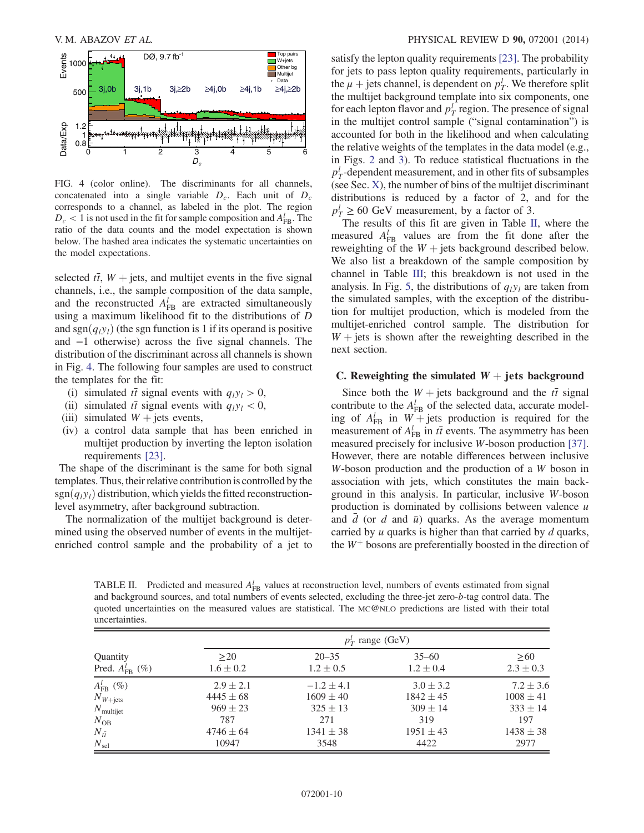<span id="page-9-1"></span>

FIG. 4 (color online). The discriminants for all channels, concatenated into a single variable  $D_c$ . Each unit of  $D_c$ corresponds to a channel, as labeled in the plot. The region  $D_c < 1$  is not used in the fit for sample composition and  $A_{FB}^l$ . The ratio of the data counts and the model expectation is shown below. The hashed area indicates the systematic uncertainties on the model expectations.

selected  $t\bar{t}$ ,  $W$  + jets, and multijet events in the five signal channels, i.e., the sample composition of the data sample, and the reconstructed  $A_{FB}^{l}$  are extracted simultaneously using a maximum likelihood fit to the distributions of D and sgn $(q_i y_i)$  (the sgn function is 1 if its operand is positive and −1 otherwise) across the five signal channels. The distribution of the discriminant across all channels is shown in Fig. [4](#page-9-1). The following four samples are used to construct the templates for the fit:

- (i) simulated  $t\bar{t}$  signal events with  $q_1y_1 > 0$ ,
- (ii) simulated  $t\bar{t}$  signal events with  $q_l y_l < 0$ ,
- (iii) simulated  $W +$  jets events,
- (iv) a control data sample that has been enriched in multijet production by inverting the lepton isolation requirements [\[23\]](#page-17-18).

The shape of the discriminant is the same for both signal templates. Thus, their relative contribution is controlled by the  $sgn(q_iy_i)$  distribution, which yields the fitted reconstructionlevel asymmetry, after background subtraction.

The normalization of the multijet background is determined using the observed number of events in the multijetenriched control sample and the probability of a jet to satisfy the lepton quality requirements [\[23\]](#page-17-18). The probability for jets to pass lepton quality requirements, particularly in the  $\mu$  + jets channel, is dependent on  $p_T^l$ . We therefore split the multijet background template into six components, one for each lepton flavor and  $p_T^l$  region. The presence of signal in the multijet control sample ("signal contamination") is accounted for both in the likelihood and when calculating the relative weights of the templates in the data model (e.g., in Figs. [2](#page-7-0) and [3](#page-8-1)). To reduce statistical fluctuations in the  $p_T^l$ -dependent measurement, and in other fits of subsamples (see Sec. [X](#page-14-0)), the number of bins of the multijet discriminant distributions is reduced by a factor of 2, and for the  $p_T^l \geq 60$  GeV measurement, by a factor of 3.

The results of this fit are given in Table [II](#page-9-2), where the measured  $A_{FB}^{l}$  values are from the fit done after the reweighting of the  $W +$  jets background described below. We also list a breakdown of the sample composition by channel in Table [III;](#page-10-0) this breakdown is not used in the analysis. In Fig. [5,](#page-10-1) the distributions of  $q_1y_1$  are taken from the simulated samples, with the exception of the distribution for multijet production, which is modeled from the multijet-enriched control sample. The distribution for  $W +$  jets is shown after the reweighting described in the next section.

## <span id="page-9-0"></span>C. Reweighting the simulated  $W +$  jets background

Since both the  $W +$  jets background and the  $t\bar{t}$  signal contribute to the  $A_{FB}^l$  of the selected data, accurate modeling of  $A_{FB}^l$  in  $W + \text{jets}$  production is required for the measurement of  $A_{FB}^l$  in  $t\bar{t}$  events. The asymmetry has been measured precisely for inclusive W-boson production [\[37\]](#page-18-0). However, there are notable differences between inclusive W-boson production and the production of a W boson in association with jets, which constitutes the main background in this analysis. In particular, inclusive W-boson production is dominated by collisions between valence  $u$ and  $\overline{d}$  (or d and  $\overline{u}$ ) quarks. As the average momentum carried by  $u$  quarks is higher than that carried by  $d$  quarks, the  $W^+$  bosons are preferentially boosted in the direction of

<span id="page-9-2"></span>TABLE II. Predicted and measured  $A_{FB}^l$  values at reconstruction level, numbers of events estimated from signal and background sources, and total numbers of events selected, excluding the three-jet zero-b-tag control data. The quoted uncertainties on the measured values are statistical. The MC@NLO predictions are listed with their total uncertainties.

|                         |               | $p_T^l$ range (GeV) |               |               |  |
|-------------------------|---------------|---------------------|---------------|---------------|--|
| Quantity                | >20           | $20 - 35$           | $35 - 60$     | >60           |  |
| Pred. $A_{FB}^l$ (%)    | $1.6 \pm 0.2$ | $1.2 \pm 0.5$       | $1.2 \pm 0.4$ | $2.3 \pm 0.3$ |  |
| $A_{\text{FB}}^{l}(\%)$ | $2.9 \pm 2.1$ | $-1.2 \pm 4.1$      | $3.0 \pm 3.2$ | $7.2 \pm 3.6$ |  |
| $N_{W+\text{jets}}$     | $4445 \pm 68$ | $1609 \pm 40$       | $1842 \pm 45$ | $1008 \pm 41$ |  |
| $N_{\text{multijet}}$   | $969 \pm 23$  | $325 \pm 13$        | $309 \pm 14$  | $333 \pm 14$  |  |
| $N_{\rm OB}$            | 787           | 271                 | 319           | 197           |  |
| $N_{t\bar{t}}$          | $4746 \pm 64$ | $1341 \pm 38$       | $1951 \pm 43$ | $1438 \pm 38$ |  |
| $N_{\rm sel}$           | 10947         | 3548                | 4422          | 2977          |  |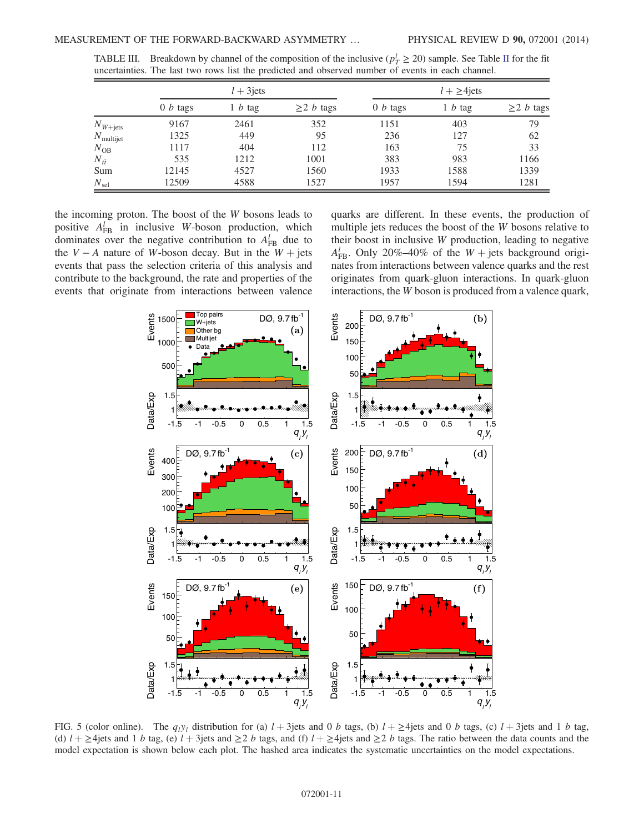|                       |                    | $l + 3$ jets |                        |            | $l + \geq 4$ jets |                        |
|-----------------------|--------------------|--------------|------------------------|------------|-------------------|------------------------|
|                       | $0 b \text{ tags}$ | 1 b tag      | $\geq$ 2 <i>b</i> tags | $0 b$ tags | $1 b \text{tag}$  | $\geq$ 2 <i>b</i> tags |
| $N_{W+\text{jets}}$   | 9167               | 2461         | 352                    | 1151       | 403               | 79                     |
| $N_{\text{multijet}}$ | 1325               | 449          | 95                     | 236        | 127               | 62                     |
| $N_{\rm OB}$          | 1117               | 404          | 112                    | 163        | 75                | 33                     |
| $N_{t\bar{t}}$        | 535                | 1212         | 1001                   | 383        | 983               | 1166                   |
| Sum                   | 12145              | 4527         | 1560                   | 1933       | 1588              | 1339                   |
| $N_{\rm sel}$         | 12509              | 4588         | 1527                   | 1957       | 1594              | 1281                   |

<span id="page-10-0"></span>TABLE [II](#page-9-2)I. Breakdown by channel of the composition of the inclusive ( $p_T^1 \ge 20$ ) sample. See Table II for the fit uncertainties. The last two rows list the predicted and observed number of events in each channel.

the incoming proton. The boost of the W bosons leads to positive  $A_{FB}^l$  in inclusive W-boson production, which dominates over the negative contribution to  $A_{FB}^l$  due to the  $V - A$  nature of W-boson decay. But in the  $W +$  jets events that pass the selection criteria of this analysis and contribute to the background, the rate and properties of the events that originate from interactions between valence quarks are different. In these events, the production of multiple jets reduces the boost of the W bosons relative to their boost in inclusive W production, leading to negative  $A_{\text{FB}}^{l}$ . Only 20%–40% of the  $W + \text{jets}$  background originates from interactions between valence quarks and the rest originates from quark-gluon interactions. In quark-gluon interactions, the W boson is produced from a valence quark,

<span id="page-10-1"></span>

FIG. 5 (color online). The  $q_1y_1$  distribution for (a)  $l + 3$ jets and 0 b tags, (b)  $l + \geq 4$ jets and 0 b tags, (c)  $l + 3$ jets and 1 b tag, (d)  $l + \geq 4$ jets and 1 b tag, (e)  $l + 3$ jets and  $\geq 2$  b tags, and (f)  $l + \geq 4$ jets and  $\geq 2$  b tags. The ratio between the data counts and the model expectation is shown below each plot. The hashed area indicates the systematic uncertainties on the model expectations.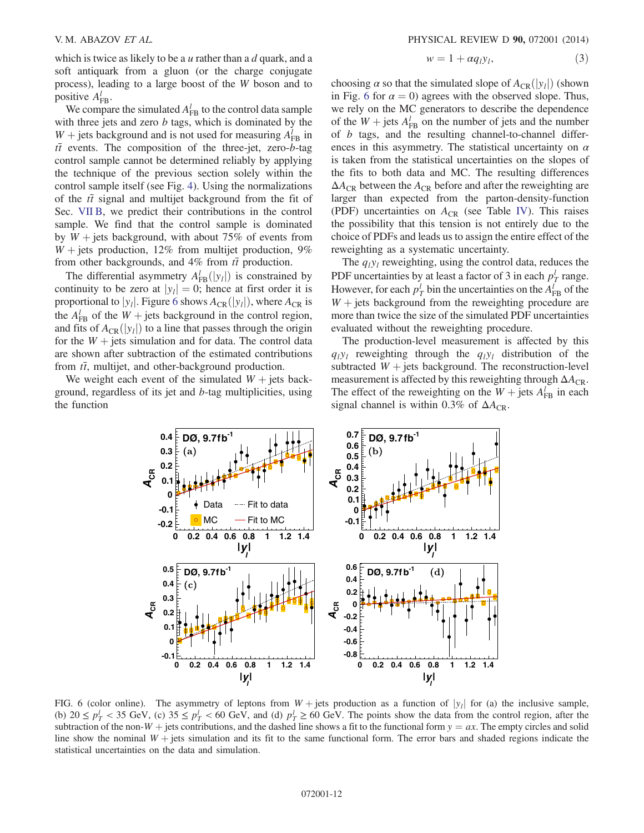which is twice as likely to be a  $u$  rather than a  $d$  quark, and a soft antiquark from a gluon (or the charge conjugate process), leading to a large boost of the W boson and to positive  $A_{FB}^l$ .

We compare the simulated  $A_{FB}^l$  to the control data sample with three jets and zero  $b$  tags, which is dominated by the  $W$  + jets background and is not used for measuring  $A_{FB}^l$  in  $t\bar{t}$  events. The composition of the three-jet, zero-b-tag control sample cannot be determined reliably by applying the technique of the previous section solely within the control sample itself (see Fig. [4\)](#page-9-1). Using the normalizations of the  $t\bar{t}$  signal and multijet background from the fit of Sec. [VII B,](#page-8-0) we predict their contributions in the control sample. We find that the control sample is dominated by  $W +$  jets background, with about 75% of events from  $W +$  jets production, 12% from multijet production, 9% from other backgrounds, and 4% from  $t\bar{t}$  production.

The differential asymmetry  $A_{FB}^{l}(|y_{l}|)$  is constrained by continuity to be zero at  $|y_l| = 0$ ; hence at first order it is proportional to  $|y_l|$ . Figure [6](#page-11-0) shows  $A_{CR}(y_l)$ , where  $A_{CR}$  is the  $A_{FB}^l$  of the  $W +$  jets background in the control region, and fits of  $A_{CR}(|y_i|)$  to a line that passes through the origin for the  $W +$  jets simulation and for data. The control data are shown after subtraction of the estimated contributions from  $t\bar{t}$ , multijet, and other-background production.

<span id="page-11-0"></span>We weight each event of the simulated  $W +$  jets background, regardless of its jet and b-tag multiplicities, using the function

$$
w = 1 + \alpha q_l y_l, \tag{3}
$$

choosing  $\alpha$  so that the simulated slope of  $A_{CR}(|y_i|)$  (shown in Fig. [6](#page-11-0) for  $\alpha = 0$ ) agrees with the observed slope. Thus, we rely on the MC generators to describe the dependence of the  $W$  + jets  $A_{FB}^l$  on the number of jets and the number of b tags, and the resulting channel-to-channel differences in this asymmetry. The statistical uncertainty on  $\alpha$ is taken from the statistical uncertainties on the slopes of the fits to both data and MC. The resulting differences  $\Delta A_{CR}$  between the  $A_{CR}$  before and after the reweighting are larger than expected from the parton-density-function (PDF) uncertainties on  $A_{CR}$  (see Table [IV\)](#page-12-1). This raises the possibility that this tension is not entirely due to the choice of PDFs and leads us to assign the entire effect of the reweighting as a systematic uncertainty.

The  $q_1y_1$  reweighting, using the control data, reduces the PDF uncertainties by at least a factor of 3 in each  $p_T^l$  range. However, for each  $p_T^l$  bin the uncertainties on the  $A_{FB}^l$  of the  $W +$  jets background from the reweighting procedure are more than twice the size of the simulated PDF uncertainties evaluated without the reweighting procedure.

The production-level measurement is affected by this  $q_1y_1$  reweighting through the  $q_1y_1$  distribution of the subtracted  $W +$  jets background. The reconstruction-level measurement is affected by this reweighting through  $\Delta A_{CR}$ . The effect of the reweighting on the  $W +$  jets  $A_{FB}^l$  in each signal channel is within 0.3% of  $\Delta A_{\text{CR}}$ .



FIG. 6 (color online). The asymmetry of leptons from  $W + \text{jets}$  production as a function of  $|y_i|$  for (a) the inclusive sample, (b)  $20 \le p_T^1 < 35$  GeV, (c)  $35 \le p_T^1 < 60$  GeV, and (d)  $p_T^1 \ge 60$  GeV. The points show the data from the control region, after the subtraction of the non-W + jets contributions, and the dashed line shows a fit to the functional form  $y = ax$ . The empty circles and solid line show the nominal  $W +$  jets simulation and its fit to the same functional form. The error bars and shaded regions indicate the statistical uncertainties on the data and simulation.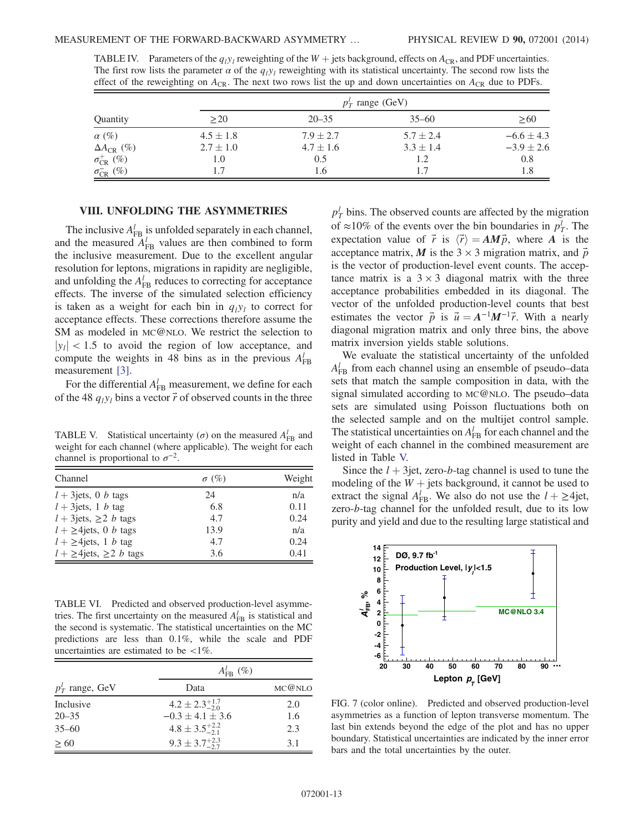|                                  |               |               | $p_T^l$ range (GeV) |                |
|----------------------------------|---------------|---------------|---------------------|----------------|
| Quantity                         | >20           | $20 - 35$     | $35 - 60$           | >60            |
| $\alpha$ (%)                     | $4.5 \pm 1.8$ | $7.9 \pm 2.7$ | $5.7 \pm 2.4$       | $-6.6 \pm 4.3$ |
| $\Delta A_{CR}$ (%)              | $2.7 \pm 1.0$ | $4.7 \pm 1.6$ | $3.3 \pm 1.4$       | $-3.9 \pm 2.6$ |
| $\sigma_{\mathrm{CR}}^{+}\ (\%)$ | 1.0           | 0.5           | 1.2                 | 0.8            |
| $\sigma_{CR}^{-}(\%)$            | 1.7           | 1.6           | 1.7                 | 1.8            |

<span id="page-12-1"></span>TABLE IV. Parameters of the  $q_1y_1$  reweighting of the  $W +$  jets background, effects on  $A_{CR}$ , and PDF uncertainties. The first row lists the parameter  $\alpha$  of the  $q_iy_i$  reweighting with its statistical uncertainty. The second row lists the effect of the reweighting on  $A_{CR}$ . The next two rows list the up and down uncertainties on  $A_{CR}$  due to PDFs.

## VIII. UNFOLDING THE ASYMMETRIES

<span id="page-12-0"></span>The inclusive  $A_{FB}^l$  is unfolded separately in each channel, and the measured  $A_{FB}^{l}$  values are then combined to form the inclusive measurement. Due to the excellent angular resolution for leptons, migrations in rapidity are negligible, and unfolding the  $A_{FB}^l$  reduces to correcting for acceptance effects. The inverse of the simulated selection efficiency is taken as a weight for each bin in  $q_1y_1$  to correct for acceptance effects. These corrections therefore assume the SM as modeled in MC@NLO. We restrict the selection to  $|y_1|$  < 1.5 to avoid the region of low acceptance, and compute the weights in 48 bins as in the previous  $A_{FB}^l$ measurement [\[3\].](#page-17-2)

For the differential  $A_{FB}^l$  measurement, we define for each of the 48  $q_i y_i$  bins a vector  $\vec{r}$  of observed counts in the three

<span id="page-12-2"></span>TABLE V. Statistical uncertainty ( $\sigma$ ) on the measured  $A_{FB}^{l}$  and weight for each channel (where applicable). The weight for each channel is proportional to  $\sigma^{-2}$ .

| Channel                                   | $\sigma$ (%) | Weight |
|-------------------------------------------|--------------|--------|
| $l + 3$ jets, 0 <i>b</i> tags             | 24           | n/a    |
| $l + 3$ jets, 1 b tag                     | 6.8          | 0.11   |
| $l + 3$ jets, $\geq 2$ <i>b</i> tags      | 4.7          | 0.24   |
| $l + \geq 4$ jets, 0 <i>b</i> tags        | 13.9         | n/a    |
| $l + \geq 4$ jets, 1 <i>b</i> tag         | 4.7          | 0.24   |
| $l + \geq 4$ jets, $\geq 2$ <i>b</i> tags | 3.6          | 0.41   |

<span id="page-12-3"></span>TABLE VI. Predicted and observed production-level asymmetries. The first uncertainty on the measured  $A_{FB}^l$  is statistical and the second is systematic. The statistical uncertainties on the MC predictions are less than 0.1%, while the scale and PDF uncertainties are estimated to be  $\langle 1\% \rangle$ .

|                    | $A_{\text{FR}}^{l}(\%)$     |        |
|--------------------|-----------------------------|--------|
| $p_T^l$ range, GeV | Data                        | MC@NLO |
| Inclusive          | $4.2 \pm 2.3_{-2.0}^{+1.7}$ | 2.0    |
| $20 - 35$          | $-0.3 \pm 4.1 \pm 3.6$      | 1.6    |
| $35 - 60$          | $4.8 \pm 3.5_{-2.1}^{+2.2}$ | 2.3    |
| $\geq 60$          | $9.3 \pm 3.7^{+2.3}_{-2.7}$ | 3.1    |

 $p_T^l$  bins. The observed counts are affected by the migration of  $\approx$ 10% of the events over the bin boundaries in  $p_T^l$ . The expectation value of  $\vec{r}$  is  $\langle \vec{r} \rangle = AM\vec{p}$ , where A is the acceptance matrix, M is the  $3 \times 3$  migration matrix, and  $\vec{p}$ is the vector of production-level event counts. The acceptance matrix is a  $3 \times 3$  diagonal matrix with the three acceptance probabilities embedded in its diagonal. The vector of the unfolded production-level counts that best estimates the vector  $\vec{p}$  is  $\vec{u} = A^{-1}M^{-1}\vec{r}$ . With a nearly diagonal migration matrix and only three bins, the above matrix inversion yields stable solutions.

We evaluate the statistical uncertainty of the unfolded  $A_{\text{FB}}^{l}$  from each channel using an ensemble of pseudo–data sets that match the sample composition in data, with the signal simulated according to MC@NLO. The pseudo–data sets are simulated using Poisson fluctuations both on the selected sample and on the multijet control sample. The statistical uncertainties on  $A_{FB}^l$  for each channel and the weight of each channel in the combined measurement are listed in Table [V.](#page-12-2)

Since the  $l + 3$ jet, zero-b-tag channel is used to tune the modeling of the  $W +$  jets background, it cannot be used to extract the signal  $A_{FB}^l$ . We also do not use the  $l + \geq 4$ jet, zero-b-tag channel for the unfolded result, due to its low purity and yield and due to the resulting large statistical and

<span id="page-12-4"></span>

FIG. 7 (color online). Predicted and observed production-level asymmetries as a function of lepton transverse momentum. The last bin extends beyond the edge of the plot and has no upper boundary. Statistical uncertainties are indicated by the inner error bars and the total uncertainties by the outer.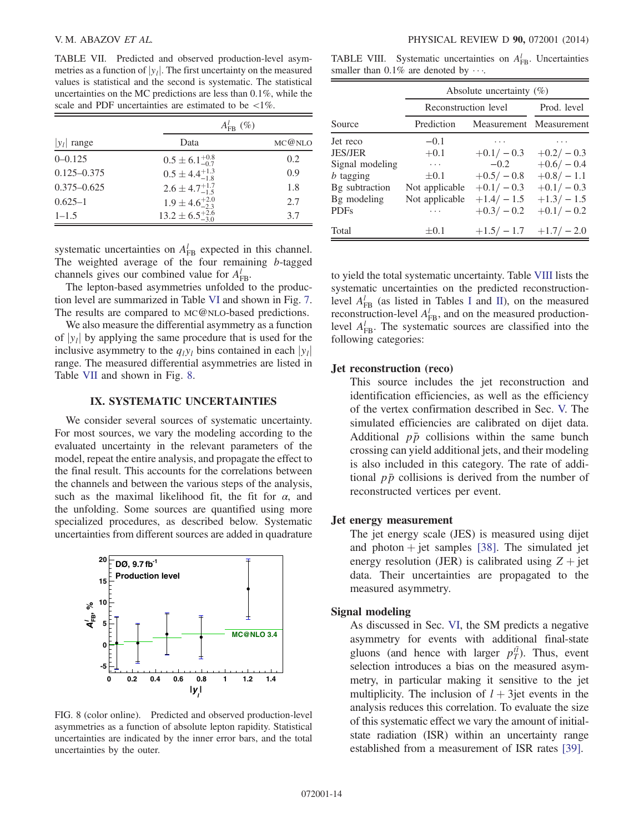<span id="page-13-1"></span>TABLE VII. Predicted and observed production-level asymmetries as a function of  $|y_l|$ . The first uncertainty on the measured values is statistical and the second is systematic. The statistical uncertainties on the MC predictions are less than 0.1%, while the scale and PDF uncertainties are estimated to be  $\langle 1\% \rangle$ .

|                 | $A_{\text{FB}}^{l}(\%)$      |        |
|-----------------|------------------------------|--------|
| $ y_l $ range   | Data                         | MC@NLO |
| $0 - 0.125$     | $0.5 \pm 6.1_{-0.7}^{+0.8}$  | 0.2    |
| $0.125 - 0.375$ | $0.5 \pm 4.4^{+1.3}_{-1.8}$  | 0.9    |
| $0.375 - 0.625$ | $2.6 \pm 4.7^{+1.7}_{-1.5}$  | 1.8    |
| $0.625 - 1$     | $1.9 \pm 4.6^{+2.0}_{-2.3}$  | 2.7    |
| $1 - 1.5$       | $13.2 \pm 6.5^{+2.6}_{-3.0}$ | 3.7    |

systematic uncertainties on  $A_{FB}^l$  expected in this channel. The weighted average of the four remaining b-tagged channels gives our combined value for  $A_{FB}^l$ .

The lepton-based asymmetries unfolded to the production level are summarized in Table [VI](#page-12-3) and shown in Fig. [7](#page-12-4). The results are compared to MC@NLO-based predictions.

We also measure the differential asymmetry as a function of  $|y_i|$  by applying the same procedure that is used for the inclusive asymmetry to the  $q_i y_l$  bins contained in each  $|y_l|$ range. The measured differential asymmetries are listed in Table [VII](#page-13-1) and shown in Fig. [8](#page-13-2).

## IX. SYSTEMATIC UNCERTAINTIES

<span id="page-13-0"></span>We consider several sources of systematic uncertainty. For most sources, we vary the modeling according to the evaluated uncertainty in the relevant parameters of the model, repeat the entire analysis, and propagate the effect to the final result. This accounts for the correlations between the channels and between the various steps of the analysis, such as the maximal likelihood fit, the fit for  $\alpha$ , and the unfolding. Some sources are quantified using more specialized procedures, as described below. Systematic uncertainties from different sources are added in quadrature

<span id="page-13-2"></span>

FIG. 8 (color online). Predicted and observed production-level asymmetries as a function of absolute lepton rapidity. Statistical uncertainties are indicated by the inner error bars, and the total uncertainties by the outer.

<span id="page-13-3"></span>TABLE VIII. Systematic uncertainties on  $A_{\text{FB}}^l$ . Uncertainties smaller than  $0.1\%$  are denoted by  $\cdots$ .

|                  | Absolute uncertainty $(\%)$ |             |                         |
|------------------|-----------------------------|-------------|-------------------------|
|                  | Reconstruction level        |             | Prod. level             |
| Source           | Prediction                  |             | Measurement Measurement |
| Jet reco         | $-0.1$                      |             |                         |
| <b>JES/JER</b>   | $+0.1$                      | $+0.1/-0.3$ | $+0.2/-0.3$             |
| Signal modeling  | $\cdots$                    | $-0.2$      | $+0.6/-0.4$             |
| <i>b</i> tagging | $\pm 0.1$                   | $+0.5/-0.8$ | $+0.8/-1.1$             |
| Bg subtraction   | Not applicable              | $+0.1/-0.3$ | $+0.1/-0.3$             |
| Bg modeling      | Not applicable              | $+1.4/-1.5$ | $+1.3/-1.5$             |
| <b>PDFs</b>      | .                           | $+0.3/-0.2$ | $+0.1/-0.2$             |
| Total            | $\pm 0.1$                   | $+1.5/-1.7$ | $+1.7/-2.0$             |

to yield the total systematic uncertainty. Table [VIII](#page-13-3) lists the systematic uncertainties on the predicted reconstructionlevel  $A_{FB}^l$  (as listed in Tables [I](#page-6-2) and [II\)](#page-9-2), on the measured reconstruction-level  $A_{\text{FB}}^l$ , and on the measured productionlevel  $A_{FB}^l$ . The systematic sources are classified into the following categories:

#### Jet reconstruction (reco)

This source includes the jet reconstruction and identification efficiencies, as well as the efficiency of the vertex confirmation described in Sec. [V.](#page-5-0) The simulated efficiencies are calibrated on dijet data. Additional  $p\bar{p}$  collisions within the same bunch crossing can yield additional jets, and their modeling is also included in this category. The rate of additional  $p\bar{p}$  collisions is derived from the number of reconstructed vertices per event.

## Jet energy measurement

The jet energy scale (JES) is measured using dijet and photon  $+$  jet samples [\[38\].](#page-18-1) The simulated jet energy resolution (JER) is calibrated using  $Z + jet$ data. Their uncertainties are propagated to the measured asymmetry.

## Signal modeling

As discussed in Sec. [VI](#page-6-0), the SM predicts a negative asymmetry for events with additional final-state gluons (and hence with larger  $p_T^{t\bar{t}}$ ). Thus, event selection introduces a bias on the measured asymmetry, in particular making it sensitive to the jet multiplicity. The inclusion of  $l + 3$ jet events in the analysis reduces this correlation. To evaluate the size of this systematic effect we vary the amount of initialstate radiation (ISR) within an uncertainty range established from a measurement of ISR rates [\[39\]](#page-18-2).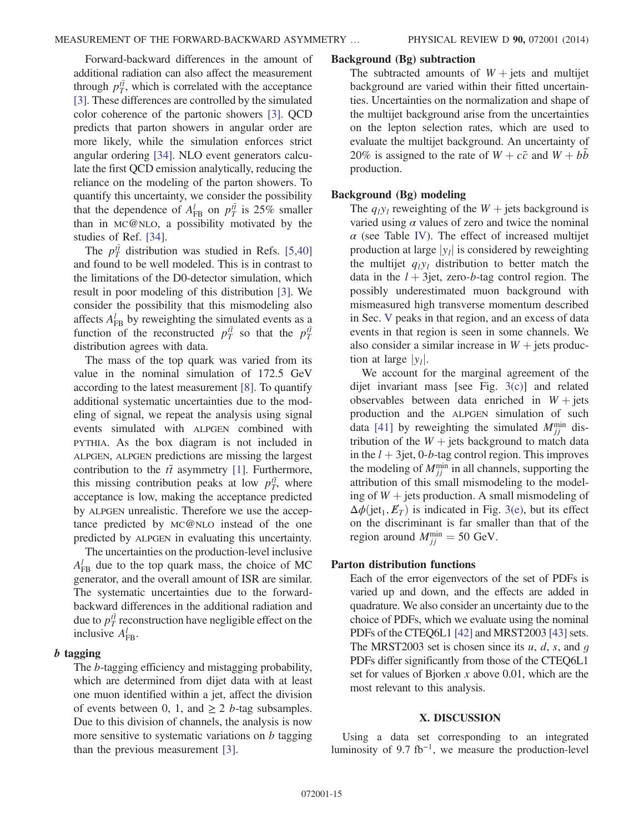Forward-backward differences in the amount of additional radiation can also affect the measurement through  $p_T^{t\bar{t}}$ , which is correlated with the acceptance [\[3\]](#page-17-2). These differences are controlled by the simulated color coherence of the partonic showers [\[3\].](#page-17-2) QCD predicts that parton showers in angular order are more likely, while the simulation enforces strict angular ordering [\[34\].](#page-17-30) NLO event generators calculate the first QCD emission analytically, reducing the reliance on the modeling of the parton showers. To quantify this uncertainty, we consider the possibility that the dependence of  $A_{FB}^l$  on  $p_T^{t\bar{t}}$  is 25% smaller than in MC@NLO, a possibility motivated by the studies of Ref. [\[34\]](#page-17-30).

The  $p_T^{t\bar{t}}$  distribution was studied in Refs. [\[5,40\]](#page-17-7) and found to be well modeled. This is in contrast to the limitations of the D0-detector simulation, which result in poor modeling of this distribution [\[3\]](#page-17-2). We consider the possibility that this mismodeling also affects  $A_{FB}^l$  by reweighting the simulated events as a function of the reconstructed  $p_T^{t\bar{t}}$  so that the  $p_T^{t\bar{t}}$ distribution agrees with data.

The mass of the top quark was varied from its value in the nominal simulation of 172.5 GeV according to the latest measurement [\[8\]](#page-17-4). To quantify additional systematic uncertainties due to the modeling of signal, we repeat the analysis using signal events simulated with ALPGEN combined with PYTHIA. As the box diagram is not included in ALPGEN, ALPGEN predictions are missing the largest contribution to the  $t\bar{t}$  asymmetry [\[1\]](#page-17-0). Furthermore, this missing contribution peaks at low  $p_T^{t\bar{t}}$ , where acceptance is low, making the acceptance predicted by ALPGEN unrealistic. Therefore we use the acceptance predicted by MC@NLO instead of the one predicted by ALPGEN in evaluating this uncertainty.

The uncertainties on the production-level inclusive  $A_{\text{FB}}^{l}$  due to the top quark mass, the choice of MC generator, and the overall amount of ISR are similar. The systematic uncertainties due to the forwardbackward differences in the additional radiation and due to  $p_T^{t\bar{t}}$  reconstruction have negligible effect on the inclusive  $A_{\text{FB}}^l$ .

## **tagging**

The b-tagging efficiency and mistagging probability, which are determined from dijet data with at least one muon identified within a jet, affect the division of events between 0, 1, and  $\geq 2$  b-tag subsamples. Due to this division of channels, the analysis is now more sensitive to systematic variations on  $b$  tagging than the previous measurement [\[3\].](#page-17-2)

#### Background (Bg) subtraction

The subtracted amounts of  $W + jets$  and multijet background are varied within their fitted uncertainties. Uncertainties on the normalization and shape of the multijet background arise from the uncertainties on the lepton selection rates, which are used to evaluate the multijet background. An uncertainty of 20% is assigned to the rate of  $W + c\bar{c}$  and  $W + b\bar{b}$ production.

## Background (Bg) modeling

The  $q_i y_i$  reweighting of the  $W$  + jets background is varied using  $\alpha$  values of zero and twice the nominal  $\alpha$  (see Table [IV\)](#page-12-1). The effect of increased multijet production at large  $|y_1|$  is considered by reweighting the multijet  $q_iy_i$  distribution to better match the data in the  $l + 3$ jet, zero-b-tag control region. The possibly underestimated muon background with mismeasured high transverse momentum described in Sec. [V](#page-5-0) peaks in that region, and an excess of data events in that region is seen in some channels. We also consider a similar increase in  $W +$  jets production at large  $|y_l|$ .

We account for the marginal agreement of the dijet invariant mass [see Fig. [3\(c\)\]](#page-8-1) and related observables between data enriched in  $W + \text{jets}$ production and the ALPGEN simulation of such data [\[41\]](#page-18-3) by reweighting the simulated  $M_{jj}^{\text{min}}$  distribution of the  $W +$  jets background to match data in the  $l + 3$ jet, 0-b-tag control region. This improves the modeling of  $M_{jj}^{\text{min}}$  in all channels, supporting the attribution of this small mismodeling to the modeling of  $W$  + jets production. A small mismodeling of  $\Delta\phi$ (jet<sub>1</sub>,  $E_T$ ) is indicated in Fig. [3\(e\),](#page-8-1) but its effect on the discriminant is far smaller than that of the region around  $M_{jj}^{\min} = 50$  GeV.

## Parton distribution functions

Each of the error eigenvectors of the set of PDFs is varied up and down, and the effects are added in quadrature. We also consider an uncertainty due to the choice of PDFs, which we evaluate using the nominal PDFs of the CTEQ6L1  $[42]$  and MRST2003  $[43]$  sets. The MRST2003 set is chosen since its  $u, d, s$ , and  $q$ PDFs differ significantly from those of the CTEQ6L1 set for values of Bjorken  $x$  above 0.01, which are the most relevant to this analysis.

## X. DISCUSSION

<span id="page-14-0"></span>Using a data set corresponding to an integrated luminosity of  $9.7$  fb<sup>-1</sup>, we measure the production-level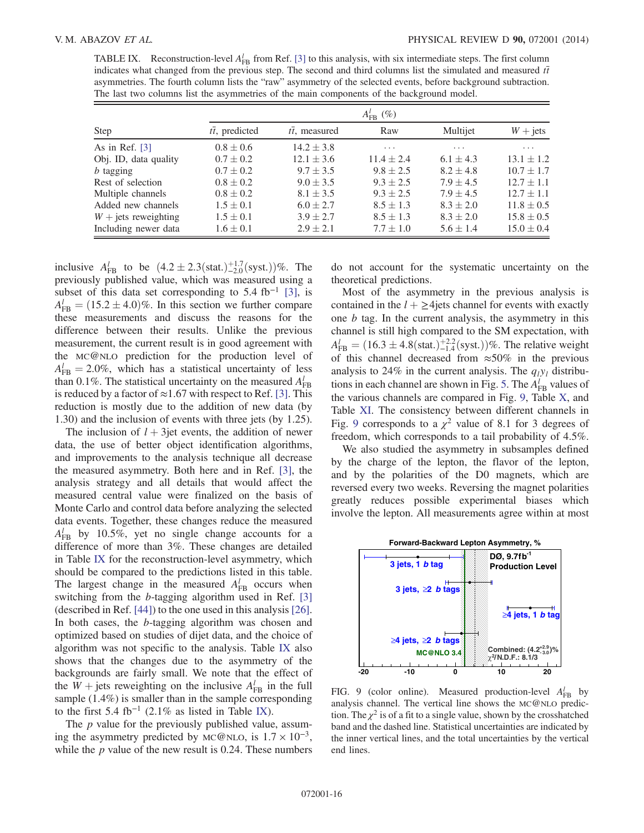<span id="page-15-0"></span>TABLE IX. Reconstruction-level  $A_{FB}^l$  from Ref. [\[3\]](#page-17-2) to this analysis, with six intermediate steps. The first column indicates what changed from the previous step. The second and third columns list the simulated and measured  $t\bar{t}$ asymmetries. The fourth column lists the "raw" asymmetry of the selected events, before background subtraction. The last two columns list the asymmetries of the main components of the background model.

|                        |                        | $A_{\text{FB}}^{l}(\%)$ |                |                         |                |
|------------------------|------------------------|-------------------------|----------------|-------------------------|----------------|
| Step                   | $t\bar{t}$ , predicted | $t\bar{t}$ , measured   | Raw            | Multijet                | $W + jets$     |
| As in Ref. $[3]$       | $0.8 \pm 0.6$          | $14.2 \pm 3.8$          | .              | $\cdot$ $\cdot$ $\cdot$ | .              |
| Obj. ID, data quality  | $0.7 \pm 0.2$          | $12.1 \pm 3.6$          | $11.4 \pm 2.4$ | $6.1 \pm 4.3$           | $13.1 \pm 1.2$ |
| $b$ tagging            | $0.7 \pm 0.2$          | $9.7 \pm 3.5$           | $9.8 \pm 2.5$  | $8.2 \pm 4.8$           | $10.7 \pm 1.7$ |
| Rest of selection      | $0.8 \pm 0.2$          | $9.0 \pm 3.5$           | $9.3 \pm 2.5$  | $7.9 \pm 4.5$           | $12.7 \pm 1.1$ |
| Multiple channels      | $0.8 \pm 0.2$          | $8.1 \pm 3.5$           | $9.3 \pm 2.5$  | $7.9 + 4.5$             | $12.7 \pm 1.1$ |
| Added new channels     | $1.5 \pm 0.1$          | $6.0 \pm 2.7$           | $8.5 \pm 1.3$  | $8.3 \pm 2.0$           | $11.8 \pm 0.5$ |
| $W +$ jets reweighting | $1.5 \pm 0.1$          | $3.9 \pm 2.7$           | $8.5 \pm 1.3$  | $8.3 \pm 2.0$           | $15.8 \pm 0.5$ |
| Including newer data   | $1.6 \pm 0.1$          | $2.9 \pm 2.1$           | $7.7 \pm 1.0$  | $5.6 \pm 1.4$           | $15.0 \pm 0.4$ |

inclusive  $A_{FB}^l$  to be  $(4.2 \pm 2.3 \text{(stat.)}^{+1.7}_{-2.0} \text{(syst.)})\%$ . The previously published value, which was measured using a subset of this data set corresponding to 5.4 fb<sup>-1</sup> [\[3\],](#page-17-2) is  $A_{\text{FB}}^l = (15.2 \pm 4.0)\%$ . In this section we further compare these measurements and discuss the reasons for the difference between their results. Unlike the previous measurement, the current result is in good agreement with the MC@NLO prediction for the production level of  $A_{\text{FB}}^{l} = 2.0\%$ , which has a statistical uncertainty of less than 0.1%. The statistical uncertainty on the measured  $A_{FB}^l$ is reduced by a factor of  $\approx$ 1.67 with respect to Ref. [\[3\].](#page-17-2) This reduction is mostly due to the addition of new data (by 1.30) and the inclusion of events with three jets (by 1.25).

The inclusion of  $l + 3$ jet events, the addition of newer data, the use of better object identification algorithms, and improvements to the analysis technique all decrease the measured asymmetry. Both here and in Ref. [\[3\]](#page-17-2), the analysis strategy and all details that would affect the measured central value were finalized on the basis of Monte Carlo and control data before analyzing the selected data events. Together, these changes reduce the measured  $A_{\text{FB}}^{l}$  by 10.5%, yet no single change accounts for a difference of more than 3%. These changes are detailed in Table [IX](#page-15-0) for the reconstruction-level asymmetry, which should be compared to the predictions listed in this table. The largest change in the measured  $A_{FB}^l$  occurs when switching from the b-tagging algorithm used in Ref. [\[3\]](#page-17-2) (described in Ref. [\[44\]\)](#page-18-6) to the one used in this analysis [\[26\]](#page-17-21). In both cases, the b-tagging algorithm was chosen and optimized based on studies of dijet data, and the choice of algorithm was not specific to the analysis. Table [IX](#page-15-0) also shows that the changes due to the asymmetry of the backgrounds are fairly small. We note that the effect of the  $W + \text{jets reweighting on the inclusive } A_{FB}^l$  in the full sample (1.4%) is smaller than in the sample corresponding to the first 5.4 fb<sup>-1</sup> (2.1% as listed in Table [IX](#page-15-0)).

The  $p$  value for the previously published value, assuming the asymmetry predicted by MC@NLO, is  $1.7 \times 10^{-3}$ , while the  $p$  value of the new result is 0.24. These numbers do not account for the systematic uncertainty on the theoretical predictions.

Most of the asymmetry in the previous analysis is contained in the  $l + \geq 4$ jets channel for events with exactly one b tag. In the current analysis, the asymmetry in this channel is still high compared to the SM expectation, with  $A_{\text{FB}}^l = (16.3 \pm 4.8 \text{(stat.)}^{+2.2}_{-1.4} \text{(syst.)})\%$ . The relative weight of this channel decreased from  $\approx 50\%$  in the previous analysis to 24% in the current analysis. The  $q_iy_i$  distribu-tions in each channel are shown in Fig. [5.](#page-10-1) The  $A_{FB}^l$  values of the various channels are compared in Fig. [9,](#page-15-1) Table [X](#page-16-1), and Table [XI](#page-16-2). The consistency between different channels in Fig. [9](#page-15-1) corresponds to a  $\chi^2$  value of 8.1 for 3 degrees of freedom, which corresponds to a tail probability of 4.5%.

We also studied the asymmetry in subsamples defined by the charge of the lepton, the flavor of the lepton, and by the polarities of the D0 magnets, which are reversed every two weeks. Reversing the magnet polarities greatly reduces possible experimental biases which involve the lepton. All measurements agree within at most

<span id="page-15-1"></span>

FIG. 9 (color online). Measured production-level  $A_{FB}^{l}$  by analysis channel. The vertical line shows the MC@NLO prediction. The  $\chi^2$  is of a fit to a single value, shown by the crosshatched band and the dashed line. Statistical uncertainties are indicated by the inner vertical lines, and the total uncertainties by the vertical end lines.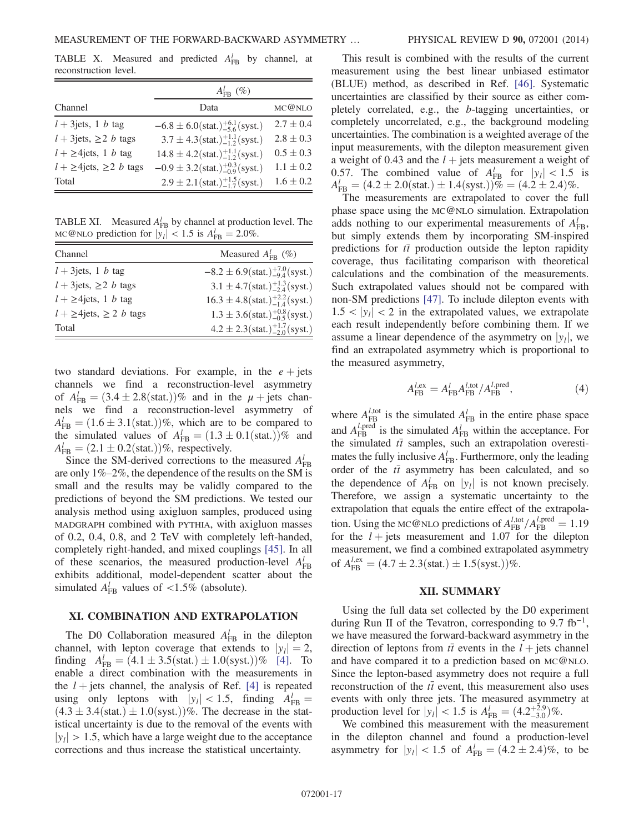<span id="page-16-1"></span>TABLE X. Measured and predicted  $A_{FB}^l$  by channel, at reconstruction level.

|                                           | $A_{\text{FR}}^{l}(\%)$                                       |               |
|-------------------------------------------|---------------------------------------------------------------|---------------|
| Channel                                   | Data                                                          | MC@NLO        |
| $l + 3$ jets, 1 b tag                     | $-6.8 \pm 6.0$ (stat.) $^{+6.1}_{-5.6}$ (syst.)               | $2.7 \pm 0.4$ |
| $l + 3$ jets, $\geq 2$ <i>b</i> tags      | $3.7 \pm 4.3$ (stat.) <sup>+1.1</sup> / <sub>12</sub> (syst.) | $2.8 \pm 0.3$ |
| $l + \geq 4$ jets, 1 <i>b</i> tag         | $14.8 \pm 4.2$ (stat.) $^{+1.1}_{-1.2}$ (syst.)               | $0.5 \pm 0.3$ |
| $l + \geq 4$ jets, $\geq 2$ <i>b</i> tags | $-0.9 \pm 3.2$ (stat.) $^{+0.3}_{-0.9}$ (syst.)               | $1.1 \pm 0.2$ |
| Total                                     | $2.9 \pm 2.1 \text{(stat.)} ^{+1.5}_{-1.7} \text{(syst.)}$    | $1.6 \pm 0.2$ |

<span id="page-16-2"></span>TABLE XI. Measured  $A_{FB}^l$  by channel at production level. The MC@NLO prediction for  $|y_l| < 1.5$  is  $A_{\text{FB}}^l = 2.0\%$ .

| Channel                                   | Measured $A_{\text{FR}}^{l}$ (%)                            |
|-------------------------------------------|-------------------------------------------------------------|
| $l + 3$ jets, 1 b tag                     | $-8.2 \pm 6.9$ (stat.) $^{+7.0}_{-9.4}$ (syst.)             |
| $l + 3$ jets, $\geq 2$ <i>b</i> tags      | $3.1 \pm 4.7(\text{stat.})^{+1.3}_{-2.4}(\text{syst.})$     |
| $l + \geq 4$ jets, 1 <i>b</i> tag         | $16.3 \pm 4.8 \text{(stat.)} ^{+2.2}_{-1.4} \text{(syst.)}$ |
| $l + \geq 4$ jets, $\geq 2$ <i>b</i> tags | $1.3 \pm 3.6(stat.)^{+0.8}_{-0.5}(syst.)$                   |
| Total                                     | $4.2 \pm 2.3 \text{(stat.)}^{+1.7}_{-2.0} \text{(syst.)}$   |

two standard deviations. For example, in the  $e + \text{jets}$ channels we find a reconstruction-level asymmetry of  $A_{\text{FB}}^l = (3.4 \pm 2.8 \text{(stat.)})\%$  and in the  $\mu$  + jets channels we find a reconstruction-level asymmetry of  $A_{\text{FB}}^l = (1.6 \pm 3.1 \text{(stat.)})\%$ , which are to be compared to the simulated values of  $A_{\text{FB}}^l = (1.3 \pm 0.1 \text{(stat.)})\%$  and  $A_{\text{FB}}^l = (2.1 \pm 0.2 \text{(stat.)})\%$ , respectively.

Since the SM-derived corrections to the measured  $A_{FB}^l$ are only 1%–2%, the dependence of the results on the SM is small and the results may be validly compared to the predictions of beyond the SM predictions. We tested our analysis method using axigluon samples, produced using MADGRAPH combined with PYTHIA, with axigluon masses of 0.2, 0.4, 0.8, and 2 TeV with completely left-handed, completely right-handed, and mixed couplings [\[45\].](#page-18-7) In all of these scenarios, the measured production-level  $A_{FB}^l$ exhibits additional, model-dependent scatter about the simulated  $A_{FB}^{l}$  values of <1.5% (absolute).

## <span id="page-16-0"></span>XI. COMBINATION AND EXTRAPOLATION

The D0 Collaboration measured  $A_{FB}^l$  in the dilepton channel, with lepton coverage that extends to  $|y_l| = 2$ , finding  $A_{FB}^l = (4.1 \pm 3.5 \text{(stat.)} \pm 1.0 \text{(syst.)})\%$  [\[4\].](#page-17-32) To enable a direct combination with the measurements in the  $l +$  jets channel, the analysis of Ref. [\[4\]](#page-17-32) is repeated using only leptons with  $|y_l| < 1.5$ , finding  $A_{FB}^l =$  $(4.3 \pm 3.4(stat.) \pm 1.0(syst.))\%$ . The decrease in the statistical uncertainty is due to the removal of the events with  $|y_1| > 1.5$ , which have a large weight due to the acceptance corrections and thus increase the statistical uncertainty.

This result is combined with the results of the current measurement using the best linear unbiased estimator (BLUE) method, as described in Ref. [\[46\].](#page-18-8) Systematic uncertainties are classified by their source as either completely correlated, e.g., the b-tagging uncertainties, or completely uncorrelated, e.g., the background modeling uncertainties. The combination is a weighted average of the input measurements, with the dilepton measurement given a weight of 0.43 and the  $l +$  jets measurement a weight of 0.57. The combined value of  $A_{FB}^l$  for  $|y_l| < 1.5$  is  $A_{\text{FB}}^l = (4.2 \pm 2.0)(\text{stat.}) \pm 1.4(\text{syst.})\% = (4.2 \pm 2.4)\%$ .

The measurements are extrapolated to cover the full phase space using the MC@NLO simulation. Extrapolation adds nothing to our experimental measurements of  $A_{\text{FB}}^l$ , but simply extends them by incorporating SM-inspired predictions for  $t\bar{t}$  production outside the lepton rapidity coverage, thus facilitating comparison with theoretical calculations and the combination of the measurements. Such extrapolated values should not be compared with non-SM predictions [\[47\].](#page-18-9) To include dilepton events with  $1.5 < |y_i| < 2$  in the extrapolated values, we extrapolate each result independently before combining them. If we assume a linear dependence of the asymmetry on  $|y_i|$ , we find an extrapolated asymmetry which is proportional to the measured asymmetry,

$$
A_{\rm FB}^{l,\rm ex} = A_{\rm FB}^l A_{\rm FB}^{l,\rm tot}/A_{\rm FB}^{l,\rm pred},\tag{4}
$$

where  $A_{FB}^{l,tot}$  is the simulated  $A_{FB}^{l}$  in the entire phase space and  $A_{FB}^{l,pred}$  is the simulated  $A_{FB}^{l}$  within the acceptance. For the simulated  $t\bar{t}$  samples, such an extrapolation overestimates the fully inclusive  $A_{FB}^l$ . Furthermore, only the leading order of the  $t\bar{t}$  asymmetry has been calculated, and so the dependence of  $A_{FB}^l$  on  $|y_l|$  is not known precisely. Therefore, we assign a systematic uncertainty to the extrapolation that equals the entire effect of the extrapolation. Using the MC@NLO predictions of  $A_{FB}^{l, \text{tot}}/A_{FB}^{l, \text{pred}} = 1.19$ for the  $l + \text{jets}$  measurement and 1.07 for the dilepton measurement, we find a combined extrapolated asymmetry of  $A_{\text{FB}}^{l, \text{ex}} = (4.7 \pm 2.3 \text{(stat.)} \pm 1.5 \text{(syst.)})\%$ .

#### XII. SUMMARY

Using the full data set collected by the D0 experiment during Run II of the Tevatron, corresponding to  $9.7 \text{ fb}^{-1}$ , we have measured the forward-backward asymmetry in the direction of leptons from  $t\bar{t}$  events in the  $l +$  jets channel and have compared it to a prediction based on MC@NLO. Since the lepton-based asymmetry does not require a full reconstruction of the  $t\bar{t}$  event, this measurement also uses events with only three jets. The measured asymmetry at production level for  $|y_l| < 1.5$  is  $A_{FB}^l = (4.2^{+2.9}_{-3.0})\%$ .

We combined this measurement with the measurement in the dilepton channel and found a production-level asymmetry for  $|y_l| < 1.5$  of  $A_{FB}^l = (4.2 \pm 2.4)\%$ , to be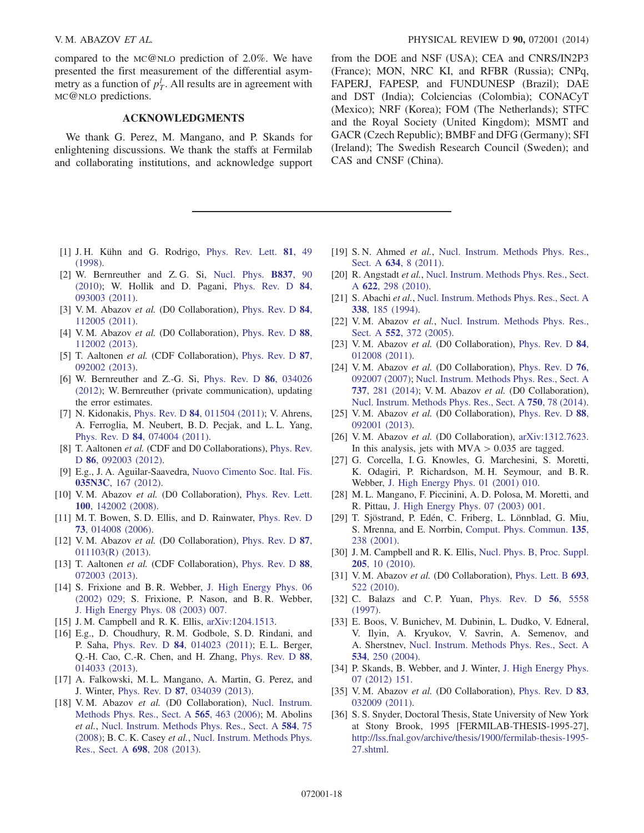compared to the MC@NLO prediction of 2.0%. We have presented the first measurement of the differential asymmetry as a function of  $p_T^l$ . All results are in agreement with MC@NLO predictions.

## ACKNOWLEDGMENTS

We thank G. Perez, M. Mangano, and P. Skands for enlightening discussions. We thank the staffs at Fermilab and collaborating institutions, and acknowledge support

- <span id="page-17-0"></span>[1] J. H. Kühn and G. Rodrigo, [Phys. Rev. Lett.](http://dx.doi.org/10.1103/PhysRevLett.81.49) 81, 49 [\(1998\).](http://dx.doi.org/10.1103/PhysRevLett.81.49)
- <span id="page-17-1"></span>[2] W. Bernreuther and Z. G. Si, [Nucl. Phys.](http://dx.doi.org/10.1016/j.nuclphysb.2010.05.001) B837, 90 [\(2010\);](http://dx.doi.org/10.1016/j.nuclphysb.2010.05.001) W. Hollik and D. Pagani, [Phys. Rev. D](http://dx.doi.org/10.1103/PhysRevD.84.093003) 84, [093003 \(2011\).](http://dx.doi.org/10.1103/PhysRevD.84.093003)
- <span id="page-17-2"></span>[3] V.M. Abazov et al. (D0 Collaboration), [Phys. Rev. D](http://dx.doi.org/10.1103/PhysRevD.84.112005) 84, [112005 \(2011\).](http://dx.doi.org/10.1103/PhysRevD.84.112005)
- <span id="page-17-32"></span>[4] V.M. Abazov et al. (D0 Collaboration), [Phys. Rev. D](http://dx.doi.org/10.1103/PhysRevD.88.112002) 88, [112002 \(2013\).](http://dx.doi.org/10.1103/PhysRevD.88.112002)
- <span id="page-17-7"></span>[5] T. Aaltonen *et al.* (CDF Collaboration), [Phys. Rev. D](http://dx.doi.org/10.1103/PhysRevD.87.092002) 87, [092002 \(2013\).](http://dx.doi.org/10.1103/PhysRevD.87.092002)
- <span id="page-17-3"></span>[6] W. Bernreuther and Z.-G. Si, [Phys. Rev. D](http://dx.doi.org/10.1103/PhysRevD.86.034026) 86, 034026 [\(2012\);](http://dx.doi.org/10.1103/PhysRevD.86.034026) W. Bernreuther (private communication), updating the error estimates.
- [7] N. Kidonakis, Phys. Rev. D **84**[, 011504 \(2011\)](http://dx.doi.org/10.1103/PhysRevD.84.011504); V. Ahrens, A. Ferroglia, M. Neubert, B. D. Pecjak, and L. L. Yang, Phys. Rev. D 84[, 074004 \(2011\)](http://dx.doi.org/10.1103/PhysRevD.84.074004).
- <span id="page-17-4"></span>[8] T. Aaltonen et al. (CDF and D0 Collaborations), [Phys. Rev.](http://dx.doi.org/10.1103/PhysRevD.86.092003) D **86**[, 092003 \(2012\)](http://dx.doi.org/10.1103/PhysRevD.86.092003).
- <span id="page-17-5"></span>[9] E.g., J. A. Aguilar-Saavedra, [Nuovo Cimento Soc. Ital. Fis.](http://dx.doi.org/10.1393/ncc/i2012-11240-7) 035N3C[, 167 \(2012\).](http://dx.doi.org/10.1393/ncc/i2012-11240-7)
- <span id="page-17-6"></span>[10] V. M. Abazov et al. (D0 Collaboration), [Phys. Rev. Lett.](http://dx.doi.org/10.1103/PhysRevLett.100.142002) 100[, 142002 \(2008\).](http://dx.doi.org/10.1103/PhysRevLett.100.142002)
- <span id="page-17-8"></span>[11] M. T. Bowen, S. D. Ellis, and D. Rainwater, [Phys. Rev. D](http://dx.doi.org/10.1103/PhysRevD.73.014008) 73[, 014008 \(2006\).](http://dx.doi.org/10.1103/PhysRevD.73.014008)
- <span id="page-17-9"></span>[12] V.M. Abazov et al. (D0 Collaboration), [Phys. Rev. D](http://dx.doi.org/10.1103/PhysRevD.87.011103) 87, [011103\(R\) \(2013\)](http://dx.doi.org/10.1103/PhysRevD.87.011103).
- <span id="page-17-10"></span>[13] T. Aaltonen et al. (CDF Collaboration), [Phys. Rev. D](http://dx.doi.org/10.1103/PhysRevD.88.072003) 88, [072003 \(2013\).](http://dx.doi.org/10.1103/PhysRevD.88.072003)
- <span id="page-17-22"></span>[14] S. Frixione and B. R. Webber, [J. High Energy Phys. 06](http://dx.doi.org/10.1088/1126-6708/2002/06/029) [\(2002\) 029;](http://dx.doi.org/10.1088/1126-6708/2002/06/029) S. Frixione, P. Nason, and B. R. Webber, [J. High Energy Phys. 08 \(2003\) 007.](http://dx.doi.org/10.1088/1126-6708/2003/08/007)
- [15] J. M. Campbell and R. K. Ellis, [arXiv:1204.1513.](http://arXiv.org/abs/1204.1513)
- <span id="page-17-11"></span>[16] E.g., D. Choudhury, R. M. Godbole, S. D. Rindani, and P. Saha, Phys. Rev. D 84[, 014023 \(2011\);](http://dx.doi.org/10.1103/PhysRevD.84.014023) E. L. Berger, Q.-H. Cao, C.-R. Chen, and H. Zhang, [Phys. Rev. D](http://dx.doi.org/10.1103/PhysRevD.88.014033) 88, [014033 \(2013\).](http://dx.doi.org/10.1103/PhysRevD.88.014033)
- <span id="page-17-12"></span>[17] A. Falkowski, M. L. Mangano, A. Martin, G. Perez, and J. Winter, Phys. Rev. D 87[, 034039 \(2013\).](http://dx.doi.org/10.1103/PhysRevD.87.034039)
- <span id="page-17-13"></span>[18] V. M. Abazov et al. (D0 Collaboration), [Nucl. Instrum.](http://dx.doi.org/10.1016/j.nima.2006.05.248) [Methods Phys. Res., Sect. A](http://dx.doi.org/10.1016/j.nima.2006.05.248) 565, 463 (2006); M. Abolins et al., [Nucl. Instrum. Methods Phys. Res., Sect. A](http://dx.doi.org/10.1016/j.nima.2007.10.014) 584, 75 [\(2008\);](http://dx.doi.org/10.1016/j.nima.2007.10.014) B. C. K. Casey et al., [Nucl. Instrum. Methods Phys.](http://dx.doi.org/10.1016/j.nima.2012.08.095) [Res., Sect. A](http://dx.doi.org/10.1016/j.nima.2012.08.095) 698, 208 (2013).

from the DOE and NSF (USA); CEA and CNRS/IN2P3 (France); MON, NRC KI, and RFBR (Russia); CNPq, FAPERJ, FAPESP, and FUNDUNESP (Brazil); DAE and DST (India); Colciencias (Colombia); CONACyT (Mexico); NRF (Korea); FOM (The Netherlands); STFC and the Royal Society (United Kingdom); MSMT and GACR (Czech Republic); BMBF and DFG (Germany); SFI (Ireland); The Swedish Research Council (Sweden); and CAS and CNSF (China).

- <span id="page-17-14"></span>[19] S. N. Ahmed et al., [Nucl. Instrum. Methods Phys. Res.,](http://dx.doi.org/10.1016/j.nima.2010.11.121) Sect. A **634**[, 8 \(2011\).](http://dx.doi.org/10.1016/j.nima.2010.11.121)
- <span id="page-17-15"></span>[20] R. Angstadt et al., [Nucl. Instrum. Methods Phys. Res., Sect.](http://dx.doi.org/10.1016/j.nima.2010.04.148) A 622[, 298 \(2010\).](http://dx.doi.org/10.1016/j.nima.2010.04.148)
- <span id="page-17-16"></span>[21] S. Abachi et al., [Nucl. Instrum. Methods Phys. Res., Sect. A](http://dx.doi.org/10.1016/0168-9002(94)91312-9) 338[, 185 \(1994\)](http://dx.doi.org/10.1016/0168-9002(94)91312-9).
- <span id="page-17-17"></span>[22] V. M. Abazov et al., [Nucl. Instrum. Methods Phys. Res.,](http://dx.doi.org/10.1016/j.nima.2005.07.008) Sect. A 552[, 372 \(2005\)](http://dx.doi.org/10.1016/j.nima.2005.07.008).
- <span id="page-17-18"></span>[23] V.M. Abazov et al. (D0 Collaboration), [Phys. Rev. D](http://dx.doi.org/10.1103/PhysRevD.84.012008) 84, [012008 \(2011\).](http://dx.doi.org/10.1103/PhysRevD.84.012008)
- <span id="page-17-19"></span>[24] V.M. Abazov et al. (D0 Collaboration), [Phys. Rev. D](http://dx.doi.org/10.1103/PhysRevD.76.092007) 76, [092007 \(2007\);](http://dx.doi.org/10.1103/PhysRevD.76.092007) [Nucl. Instrum. Methods Phys. Res., Sect. A](http://dx.doi.org/10.1016/j.nima.2013.11.050) 737[, 281 \(2014\);](http://dx.doi.org/10.1016/j.nima.2013.11.050) V. M. Abazov et al. (D0 Collaboration), [Nucl. Instrum. Methods Phys. Res., Sect. A](http://dx.doi.org/10.1016/j.nima.2014.03.013) 750, 78 (2014).
- <span id="page-17-20"></span>[25] V.M. Abazov et al. (D0 Collaboration), [Phys. Rev. D](http://dx.doi.org/10.1103/PhysRevD.88.092001) 88, [092001 \(2013\).](http://dx.doi.org/10.1103/PhysRevD.88.092001)
- <span id="page-17-21"></span>[26] V.M. Abazov et al. (D0 Collaboration), [arXiv:1312.7623.](http://arXiv.org/abs/1312.7623) In this analysis, jets with  $MVA > 0.035$  are tagged.
- <span id="page-17-23"></span>[27] G. Corcella, I. G. Knowles, G. Marchesini, S. Moretti, K. Odagiri, P. Richardson, M. H. Seymour, and B. R. Webber, [J. High Energy Phys. 01 \(2001\) 010.](http://dx.doi.org/10.1088/1126-6708/2001/01/010)
- <span id="page-17-24"></span>[28] M. L. Mangano, F. Piccinini, A. D. Polosa, M. Moretti, and R. Pittau, [J. High Energy Phys. 07 \(2003\) 001.](http://dx.doi.org/10.1088/1126-6708/2003/07/001)
- <span id="page-17-25"></span>[29] T. Sjöstrand, P. Edén, C. Friberg, L. Lönnblad, G. Miu, S. Mrenna, and E. Norrbin, [Comput. Phys. Commun.](http://dx.doi.org/10.1016/S0010-4655(00)00236-8) 135, [238 \(2001\)](http://dx.doi.org/10.1016/S0010-4655(00)00236-8).
- <span id="page-17-29"></span>[30] J. M. Campbell and R. K. Ellis, [Nucl. Phys. B, Proc. Suppl.](http://dx.doi.org/10.1016/j.nuclphysbps.2010.08.011) 205[, 10 \(2010\).](http://dx.doi.org/10.1016/j.nuclphysbps.2010.08.011)
- <span id="page-17-26"></span>[31] V. M. Abazov et al. (D0 Collaboration), [Phys. Lett. B](http://dx.doi.org/10.1016/j.physletb.2010.09.012) 693, [522 \(2010\)](http://dx.doi.org/10.1016/j.physletb.2010.09.012).
- <span id="page-17-27"></span>[32] C. Balazs and C.P. Yuan, [Phys. Rev. D](http://dx.doi.org/10.1103/PhysRevD.56.5558) 56, 5558 [\(1997\).](http://dx.doi.org/10.1103/PhysRevD.56.5558)
- <span id="page-17-28"></span>[33] E. Boos, V. Bunichev, M. Dubinin, L. Dudko, V. Edneral, V. Ilyin, A. Kryukov, V. Savrin, A. Semenov, and A. Sherstnev, [Nucl. Instrum. Methods Phys. Res., Sect. A](http://dx.doi.org/10.1016/j.nima.2004.07.096) 534[, 250 \(2004\)](http://dx.doi.org/10.1016/j.nima.2004.07.096).
- <span id="page-17-30"></span>[34] P. Skands, B. Webber, and J. Winter, [J. High Energy Phys.](http://dx.doi.org/10.1007/JHEP07(2012)151) [07 \(2012\) 151.](http://dx.doi.org/10.1007/JHEP07(2012)151)
- [35] V.M. Abazov et al. (D0 Collaboration), [Phys. Rev. D](http://dx.doi.org/10.1103/PhysRevD.83.032009) 83, [032009 \(2011\).](http://dx.doi.org/10.1103/PhysRevD.83.032009)
- <span id="page-17-31"></span>[36] S. S. Snyder, Doctoral Thesis, State University of New York at Stony Brook, 1995 [FERMILAB-THESIS-1995-27], [http://lss.fnal.gov/archive/thesis/1900/fermilab](http://lss.fnal.gov/archive/thesis/1900/fermilab-thesis-1995-27.shtml)-thesis-1995– [27.shtml](http://lss.fnal.gov/archive/thesis/1900/fermilab-thesis-1995-27.shtml).